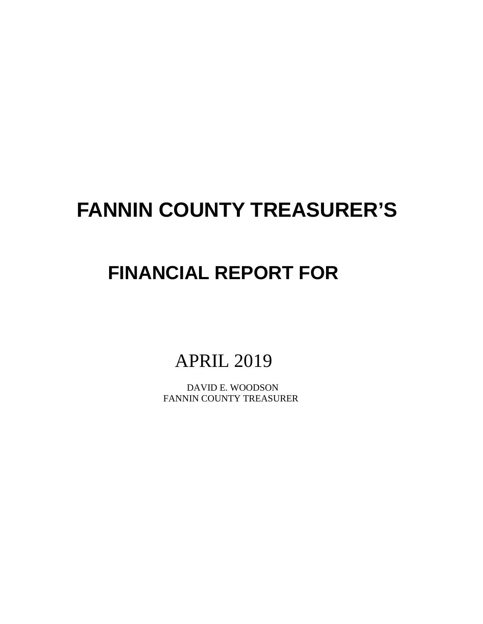# **FANNIN COUNTY TREASURER'S**

# **FINANCIAL REPORT FOR**

# APRIL 2019

 DAVID E. WOODSON FANNIN COUNTY TREASURER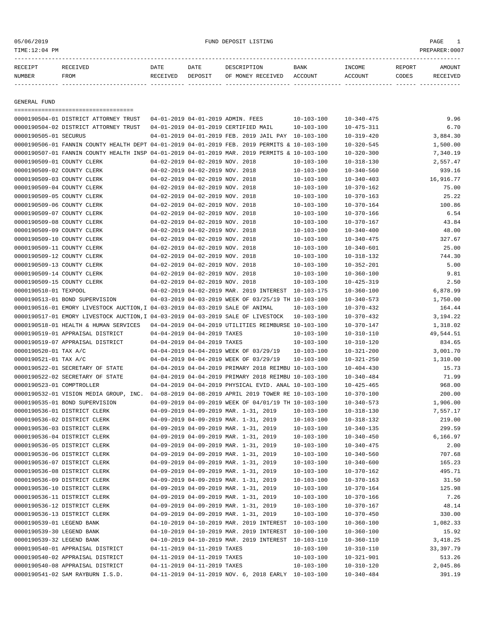TIME:12:04 PM PREPARER:0007

05/06/2019 FUND DEPOSIT LISTING PAGE 1

| RECEIPT       |             | DATE     | DATE    |                   | <b>BANK</b>    | <b>TNCOME</b>  | REPORT | <b>IMOUNT</b> |
|---------------|-------------|----------|---------|-------------------|----------------|----------------|--------|---------------|
| <b>NUMBER</b> | <b>FROM</b> | RECEIVED | DEPOSIT | OF MONEY RECEIVED | <b>ACCOUNT</b> | <b>CCOLINT</b> | CODES  |               |

------------- ------------------------- ---------- ---------- ------------------- -------------- -------------- ------ ------------

GENERAL FUND

|                            | ====================================                                                         |                                 |                                                      |                  |                  |            |
|----------------------------|----------------------------------------------------------------------------------------------|---------------------------------|------------------------------------------------------|------------------|------------------|------------|
|                            | 0000190504-01 DISTRICT ATTORNEY TRUST                                                        |                                 | 04-01-2019 04-01-2019 ADMIN. FEES                    | $10 - 103 - 100$ | $10 - 340 - 475$ | 9.96       |
|                            | 0000190504-02 DISTRICT ATTORNEY TRUST                                                        |                                 | 04-01-2019 04-01-2019 CERTIFIED MAIL                 | $10 - 103 - 100$ | $10 - 475 - 311$ | 6.70       |
| 0000190505-01 SECURUS      |                                                                                              |                                 | 04-01-2019 04-01-2019 FEB. 2019 JAIL PAY 10-103-100  |                  | $10 - 319 - 420$ | 3,884.30   |
|                            | 0000190506-01 FANNIN COUNTY HEALTH DEPT 04-01-2019 04-01-2019 FEB. 2019 PERMITS & 10-103-100 |                                 |                                                      |                  | $10 - 320 - 545$ | 1,500.00   |
|                            | 0000190507-01 FANNIN COUNTY HEALTH INSP 04-01-2019 04-01-2019 MAR. 2019 PERMITS & 10-103-100 |                                 |                                                      |                  | $10 - 320 - 300$ | 7,340.19   |
| 0000190509-01 COUNTY CLERK |                                                                                              | 04-02-2019 04-02-2019 NOV. 2018 |                                                      | 10-103-100       | $10 - 318 - 130$ | 2,557.47   |
| 0000190509-02 COUNTY CLERK |                                                                                              | 04-02-2019 04-02-2019 NOV. 2018 |                                                      | $10 - 103 - 100$ | $10 - 340 - 560$ | 939.16     |
| 0000190509-03 COUNTY CLERK |                                                                                              | 04-02-2019 04-02-2019 NOV. 2018 |                                                      | $10 - 103 - 100$ | $10 - 340 - 403$ | 16,916.77  |
| 0000190509-04 COUNTY CLERK |                                                                                              | 04-02-2019 04-02-2019 NOV. 2018 |                                                      | $10 - 103 - 100$ | $10 - 370 - 162$ | 75.00      |
| 0000190509-05 COUNTY CLERK |                                                                                              | 04-02-2019 04-02-2019 NOV. 2018 |                                                      | $10 - 103 - 100$ | $10 - 370 - 163$ | 25.22      |
| 0000190509-06 COUNTY CLERK |                                                                                              | 04-02-2019 04-02-2019 NOV. 2018 |                                                      | $10 - 103 - 100$ | $10 - 370 - 164$ | 100.86     |
| 0000190509-07 COUNTY CLERK |                                                                                              | 04-02-2019 04-02-2019 NOV. 2018 |                                                      | $10 - 103 - 100$ | $10 - 370 - 166$ | 6.54       |
| 0000190509-08 COUNTY CLERK |                                                                                              | 04-02-2019 04-02-2019 NOV. 2018 |                                                      | $10 - 103 - 100$ | $10 - 370 - 167$ | 43.84      |
| 0000190509-09 COUNTY CLERK |                                                                                              | 04-02-2019 04-02-2019 NOV. 2018 |                                                      | $10 - 103 - 100$ | $10 - 340 - 400$ | 48.00      |
| 0000190509-10 COUNTY CLERK |                                                                                              | 04-02-2019 04-02-2019 NOV. 2018 |                                                      | $10 - 103 - 100$ | $10 - 340 - 475$ | 327.67     |
| 0000190509-11 COUNTY CLERK |                                                                                              | 04-02-2019 04-02-2019 NOV. 2018 |                                                      | $10 - 103 - 100$ | $10 - 340 - 601$ | 25.00      |
| 0000190509-12 COUNTY CLERK |                                                                                              | 04-02-2019 04-02-2019 NOV. 2018 |                                                      | $10 - 103 - 100$ | $10 - 318 - 132$ | 744.30     |
| 0000190509-13 COUNTY CLERK |                                                                                              | 04-02-2019 04-02-2019 NOV. 2018 |                                                      | $10 - 103 - 100$ | $10 - 352 - 201$ | 5.00       |
| 0000190509-14 COUNTY CLERK |                                                                                              | 04-02-2019 04-02-2019 NOV. 2018 |                                                      | 10-103-100       | $10 - 360 - 100$ | 9.81       |
| 0000190509-15 COUNTY CLERK |                                                                                              | 04-02-2019 04-02-2019 NOV. 2018 |                                                      | $10 - 103 - 100$ | $10 - 425 - 319$ | 2.50       |
| 0000190510-01 TEXPOOL      |                                                                                              |                                 | 04-02-2019 04-02-2019 MAR. 2019 INTEREST             | 10-103-175       | $10 - 360 - 100$ | 6,878.99   |
|                            | 0000190513-01 BOND SUPERVISION                                                               |                                 | 04-03-2019 04-03-2019 WEEK OF 03/25/19 TH 10-103-100 |                  | $10 - 340 - 573$ | 1,750.00   |
|                            | 0000190516-01 EMORY LIVESTOCK AUCTION, I 04-03-2019 04-03-2019 SALE OF ANIMAL                |                                 |                                                      | $10 - 103 - 100$ | $10 - 370 - 432$ | 164.44     |
|                            | 0000190517-01 EMORY LIVESTOCK AUCTION, I 04-03-2019 04-03-2019 SALE OF LIVESTOCK             |                                 |                                                      | $10 - 103 - 100$ | $10 - 370 - 432$ | 3,194.22   |
|                            | 0000190518-01 HEALTH & HUMAN SERVICES                                                        |                                 | 04-04-2019 04-04-2019 UTILITIES REIMBURSE 10-103-100 |                  | $10 - 370 - 147$ | 1,318.02   |
|                            | 0000190519-01 APPRAISAL DISTRICT                                                             | 04-04-2019 04-04-2019 TAXES     |                                                      | $10 - 103 - 100$ | $10 - 310 - 110$ | 49,544.51  |
|                            | 0000190519-07 APPRAISAL DISTRICT                                                             | 04-04-2019 04-04-2019 TAXES     |                                                      | $10 - 103 - 100$ | $10 - 310 - 120$ | 834.65     |
| 0000190520-01 TAX A/C      |                                                                                              |                                 | 04-04-2019 04-04-2019 WEEK OF 03/29/19               | $10 - 103 - 100$ | $10 - 321 - 200$ | 3,001.70   |
| 0000190521-01 TAX A/C      |                                                                                              |                                 | 04-04-2019 04-04-2019 WEEK OF 03/29/19               | $10 - 103 - 100$ | $10 - 321 - 250$ | 1,310.00   |
|                            | 0000190522-01 SECRETARY OF STATE                                                             |                                 | 04-04-2019 04-04-2019 PRIMARY 2018 REIMBU 10-103-100 |                  | $10 - 404 - 430$ | 15.73      |
|                            | 0000190522-02 SECRETARY OF STATE                                                             |                                 | 04-04-2019 04-04-2019 PRIMARY 2018 REIMBU 10-103-100 |                  | $10 - 340 - 484$ | 71.99      |
| 0000190523-01 COMPTROLLER  |                                                                                              |                                 | 04-04-2019 04-04-2019 PHYSICAL EVID. ANAL 10-103-100 |                  | $10 - 425 - 465$ | 968.00     |
|                            | 0000190532-01 VISION MEDIA GROUP, INC.                                                       |                                 | 04-08-2019 04-08-2019 APRIL 2019 TOWER RE 10-103-100 |                  | $10 - 370 - 100$ | 200.00     |
|                            | 0000190535-01 BOND SUPERVISION                                                               |                                 | 04-09-2019 04-09-2019 WEEK OF 04/01/19 TH 10-103-100 |                  | $10 - 340 - 573$ | 1,906.00   |
|                            | 0000190536-01 DISTRICT CLERK                                                                 |                                 | 04-09-2019 04-09-2019 MAR. 1-31, 2019                | $10 - 103 - 100$ | $10 - 318 - 130$ | 7,557.17   |
|                            | 0000190536-02 DISTRICT CLERK                                                                 |                                 | 04-09-2019 04-09-2019 MAR. 1-31, 2019                | $10 - 103 - 100$ | $10 - 318 - 132$ | 219.00     |
|                            | 0000190536-03 DISTRICT CLERK                                                                 |                                 | 04-09-2019 04-09-2019 MAR. 1-31, 2019                | 10-103-100       | $10 - 340 - 135$ | 299.59     |
|                            | 0000190536-04 DISTRICT CLERK                                                                 |                                 | 04-09-2019 04-09-2019 MAR. 1-31, 2019                | $10 - 103 - 100$ | $10 - 340 - 450$ | 6,166.97   |
|                            | 0000190536-05 DISTRICT CLERK                                                                 |                                 | 04-09-2019 04-09-2019 MAR. 1-31, 2019                | $10 - 103 - 100$ | $10 - 340 - 475$ | 2.00       |
|                            | 0000190536-06 DISTRICT CLERK                                                                 |                                 | 04-09-2019 04-09-2019 MAR. 1-31, 2019                | $10 - 103 - 100$ | $10 - 340 - 560$ | 707.68     |
|                            | 0000190536-07 DISTRICT CLERK                                                                 |                                 | 04-09-2019 04-09-2019 MAR. 1-31, 2019                | $10 - 103 - 100$ | $10 - 340 - 600$ | 165.23     |
|                            |                                                                                              |                                 | 04-09-2019 04-09-2019 MAR. 1-31, 2019                | $10 - 103 - 100$ |                  |            |
|                            | 0000190536-08 DISTRICT CLERK                                                                 |                                 | 04-09-2019 04-09-2019 MAR. 1-31, 2019                |                  | $10 - 370 - 162$ | 495.71     |
|                            | 0000190536-09 DISTRICT CLERK                                                                 |                                 |                                                      | 10-103-100       | $10 - 370 - 163$ | 31.50      |
|                            | 0000190536-10 DISTRICT CLERK                                                                 |                                 | 04-09-2019 04-09-2019 MAR. 1-31, 2019                | $10 - 103 - 100$ | $10 - 370 - 164$ | 125.98     |
|                            | 0000190536-11 DISTRICT CLERK                                                                 |                                 | 04-09-2019 04-09-2019 MAR. 1-31, 2019                | $10 - 103 - 100$ | $10 - 370 - 166$ | 7.26       |
|                            | 0000190536-12 DISTRICT CLERK                                                                 |                                 | 04-09-2019 04-09-2019 MAR. 1-31, 2019                | $10 - 103 - 100$ | $10 - 370 - 167$ | 48.14      |
|                            | 0000190536-13 DISTRICT CLERK                                                                 |                                 | 04-09-2019 04-09-2019 MAR. 1-31, 2019                | $10 - 103 - 100$ | $10 - 370 - 450$ | 330.00     |
| 0000190539-01 LEGEND BANK  |                                                                                              |                                 | 04-10-2019 04-10-2019 MAR. 2019 INTEREST 10-103-100  |                  | $10 - 360 - 100$ | 1,082.33   |
| 0000190539-30 LEGEND BANK  |                                                                                              |                                 | 04-10-2019 04-10-2019 MAR. 2019 INTEREST 10-100-100  |                  | $10 - 360 - 100$ | 15.92      |
| 0000190539-32 LEGEND BANK  |                                                                                              |                                 | 04-10-2019 04-10-2019 MAR. 2019 INTEREST             | 10-103-110       | $10 - 360 - 110$ | 3,418.25   |
|                            | 0000190540-01 APPRAISAL DISTRICT                                                             | 04-11-2019 04-11-2019 TAXES     |                                                      | $10 - 103 - 100$ | $10 - 310 - 110$ | 33, 397.79 |
|                            | 0000190540-02 APPRAISAL DISTRICT                                                             | 04-11-2019 04-11-2019 TAXES     |                                                      | 10-103-100       | $10 - 321 - 901$ | 513.26     |
|                            | 0000190540-08 APPRAISAL DISTRICT                                                             | 04-11-2019 04-11-2019 TAXES     |                                                      | $10 - 103 - 100$ | $10 - 310 - 120$ | 2,045.86   |
|                            | 0000190541-02 SAM RAYBURN I.S.D.                                                             |                                 | 04-11-2019 04-11-2019 NOV. 6, 2018 EARLY 10-103-100  |                  | $10 - 340 - 484$ | 391.19     |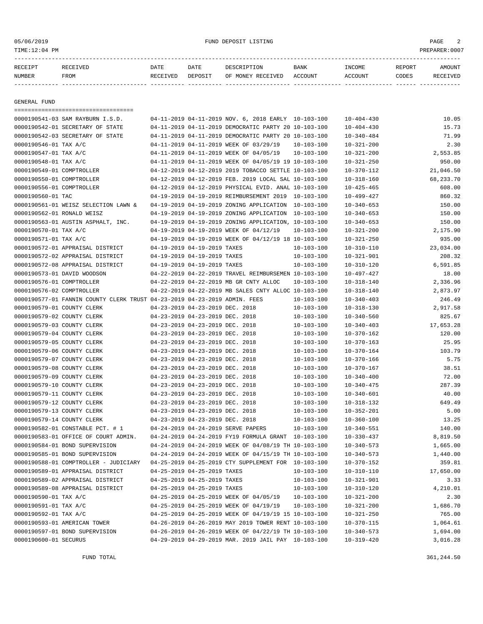TIME:12:04 PM PREPARER:0007

# 05/06/2019 FUND DEPOSIT LISTING PAGE 2

| RECEIPT | <b>RECEIVED</b> | DATE     | DATE    | DESCRIPTION       | <b>BANK</b> | <b>INCOME</b> | REPORT | <b>AMOUNT</b>   |
|---------|-----------------|----------|---------|-------------------|-------------|---------------|--------|-----------------|
| NUMBER  | FROM            | RECEIVED | DEPOSIT | OF MONEY RECEIVED | ACCOUNT     | ACCOUNT       | CODES  | <b>RECEIVED</b> |
|         |                 |          |         |                   |             |               |        |                 |

GENERAL FUND

|                             | =====================================                                                     |                                 |                                                      |                  |                  |           |
|-----------------------------|-------------------------------------------------------------------------------------------|---------------------------------|------------------------------------------------------|------------------|------------------|-----------|
|                             | 0000190541-03 SAM RAYBURN I.S.D.                                                          |                                 | 04-11-2019 04-11-2019 NOV. 6, 2018 EARLY 10-103-100  |                  | $10 - 404 - 430$ | 10.05     |
|                             | 0000190542-01 SECRETARY OF STATE                                                          |                                 | 04-11-2019 04-11-2019 DEMOCRATIC PARTY 20 10-103-100 |                  | $10 - 404 - 430$ | 15.73     |
|                             | 0000190542-03 SECRETARY OF STATE                                                          |                                 | 04-11-2019 04-11-2019 DEMOCRATIC PARTY 20 10-103-100 |                  | $10 - 340 - 484$ | 71.99     |
| 0000190546-01 TAX A/C       |                                                                                           |                                 | 04-11-2019 04-11-2019 WEEK OF 03/29/19               | $10 - 103 - 100$ | $10 - 321 - 200$ | 2.30      |
| 0000190547-01 TAX A/C       |                                                                                           |                                 | 04-11-2019 04-11-2019 WEEK OF 04/05/19               | $10 - 103 - 100$ | $10 - 321 - 200$ | 2,553.85  |
| 0000190548-01 TAX A/C       |                                                                                           |                                 | 04-11-2019 04-11-2019 WEEK OF 04/05/19 19 10-103-100 |                  | $10 - 321 - 250$ | 950.00    |
| 0000190549-01 COMPTROLLER   |                                                                                           |                                 | 04-12-2019 04-12-2019 2019 TOBACCO SETTLE 10-103-100 |                  | $10 - 370 - 112$ | 21,046.50 |
| 0000190550-01 COMPTROLLER   |                                                                                           |                                 | 04-12-2019 04-12-2019 FEB. 2019 LOCAL SAL 10-103-100 |                  | $10 - 318 - 160$ | 68,233.70 |
| 0000190556-01 COMPTROLLER   |                                                                                           |                                 | 04-12-2019 04-12-2019 PHYSICAL EVID. ANAL 10-103-100 |                  | $10 - 425 - 465$ | 608.00    |
| 0000190560-01 TAC           |                                                                                           |                                 | 04-19-2019 04-19-2019 REIMBURSEMENT 2019 10-103-100  |                  | $10 - 499 - 427$ | 860.32    |
|                             | 0000190561-01 WEISZ SELECTION LAWN &                                                      |                                 | 04-19-2019 04-19-2019 ZONING APPLICATION 10-103-100  |                  | $10 - 340 - 653$ | 150.00    |
| 0000190562-01 RONALD WEISZ  |                                                                                           |                                 | 04-19-2019 04-19-2019 ZONING APPLICATION 10-103-100  |                  | $10 - 340 - 653$ | 150.00    |
|                             | 0000190563-01 AUSTIN ASPHALT, INC.                                                        |                                 | 04-19-2019 04-19-2019 ZONING APPLICATION, 10-103-100 |                  | $10 - 340 - 653$ | 150.00    |
| 0000190570-01 TAX A/C       |                                                                                           |                                 | 04-19-2019 04-19-2019 WEEK OF 04/12/19               | 10-103-100       | $10 - 321 - 200$ | 2,175.90  |
| 0000190571-01 TAX A/C       |                                                                                           |                                 | 04-19-2019 04-19-2019 WEEK OF 04/12/19 18 10-103-100 |                  | $10 - 321 - 250$ | 935.00    |
|                             | 0000190572-01 APPRAISAL DISTRICT                                                          | 04-19-2019 04-19-2019 TAXES     |                                                      | $10 - 103 - 100$ | $10 - 310 - 110$ | 23,034.00 |
|                             | 0000190572-02 APPRAISAL DISTRICT                                                          | 04-19-2019 04-19-2019 TAXES     |                                                      | $10 - 103 - 100$ | $10 - 321 - 901$ | 208.32    |
|                             | 0000190572-08 APPRAISAL DISTRICT                                                          | 04-19-2019 04-19-2019 TAXES     |                                                      | $10 - 103 - 100$ | $10 - 310 - 120$ | 6,591.85  |
| 0000190573-01 DAVID WOODSON |                                                                                           |                                 | 04-22-2019 04-22-2019 TRAVEL REIMBURSEMEN 10-103-100 |                  | 10-497-427       | 18.00     |
| 0000190576-01 COMPTROLLER   |                                                                                           |                                 | 04-22-2019 04-22-2019 MB GR CNTY ALLOC               | $10 - 103 - 100$ | $10 - 318 - 140$ | 2,336.96  |
| 0000190576-02 COMPTROLLER   |                                                                                           |                                 | 04-22-2019 04-22-2019 MB SALES CNTY ALLOC 10-103-100 |                  | $10 - 318 - 140$ | 2,873.97  |
|                             | 0000190577-01 FANNIN COUNTY CLERK TRUST 04-23-2019 04-23-2019 ADMIN. FEES                 |                                 |                                                      | $10 - 103 - 100$ | $10 - 340 - 403$ | 246.49    |
| 0000190579-01 COUNTY CLERK  |                                                                                           | 04-23-2019 04-23-2019 DEC. 2018 |                                                      | $10 - 103 - 100$ | $10 - 318 - 130$ | 2,917.58  |
| 0000190579-02 COUNTY CLERK  |                                                                                           | 04-23-2019 04-23-2019 DEC. 2018 |                                                      | $10 - 103 - 100$ | $10 - 340 - 560$ | 825.67    |
| 0000190579-03 COUNTY CLERK  |                                                                                           |                                 |                                                      | $10 - 103 - 100$ |                  |           |
|                             |                                                                                           | 04-23-2019 04-23-2019 DEC. 2018 |                                                      |                  | $10 - 340 - 403$ | 17,653.28 |
| 0000190579-04 COUNTY CLERK  |                                                                                           | 04-23-2019 04-23-2019 DEC. 2018 |                                                      | $10 - 103 - 100$ | $10 - 370 - 162$ | 120.00    |
| 0000190579-05 COUNTY CLERK  |                                                                                           | 04-23-2019 04-23-2019 DEC. 2018 |                                                      | $10 - 103 - 100$ | $10 - 370 - 163$ | 25.95     |
| 0000190579-06 COUNTY CLERK  |                                                                                           | 04-23-2019 04-23-2019 DEC. 2018 |                                                      | $10 - 103 - 100$ | $10 - 370 - 164$ | 103.79    |
| 0000190579-07 COUNTY CLERK  |                                                                                           | 04-23-2019 04-23-2019 DEC. 2018 |                                                      | $10 - 103 - 100$ | $10 - 370 - 166$ | 5.75      |
| 0000190579-08 COUNTY CLERK  |                                                                                           | 04-23-2019 04-23-2019 DEC. 2018 |                                                      | $10 - 103 - 100$ | $10 - 370 - 167$ | 38.51     |
| 0000190579-09 COUNTY CLERK  |                                                                                           | 04-23-2019 04-23-2019 DEC. 2018 |                                                      | $10 - 103 - 100$ | $10 - 340 - 400$ | 72.00     |
| 0000190579-10 COUNTY CLERK  |                                                                                           | 04-23-2019 04-23-2019 DEC. 2018 |                                                      | $10 - 103 - 100$ | $10 - 340 - 475$ | 287.39    |
| 0000190579-11 COUNTY CLERK  |                                                                                           | 04-23-2019 04-23-2019 DEC. 2018 |                                                      | $10 - 103 - 100$ | $10 - 340 - 601$ | 40.00     |
| 0000190579-12 COUNTY CLERK  |                                                                                           | 04-23-2019 04-23-2019 DEC. 2018 |                                                      | $10 - 103 - 100$ | $10 - 318 - 132$ | 649.49    |
| 0000190579-13 COUNTY CLERK  |                                                                                           | 04-23-2019 04-23-2019 DEC. 2018 |                                                      | $10 - 103 - 100$ | $10 - 352 - 201$ | 5.00      |
| 0000190579-14 COUNTY CLERK  |                                                                                           | 04-23-2019 04-23-2019 DEC. 2018 |                                                      | $10 - 103 - 100$ | $10 - 360 - 100$ | 13.25     |
|                             | 0000190582-01 CONSTABLE PCT. # 1                                                          |                                 | 04-24-2019 04-24-2019 SERVE PAPERS                   | $10 - 103 - 100$ | $10 - 340 - 551$ | 140.00    |
|                             | 0000190583-01 OFFICE OF COURT ADMIN.                                                      |                                 | 04-24-2019 04-24-2019 FY19 FORMULA GRANT 10-103-100  |                  | $10 - 330 - 437$ | 8,819.50  |
|                             | 0000190584-01 BOND SUPERVISION                                                            |                                 | 04-24-2019 04-24-2019 WEEK OF 04/08/19 TH 10-103-100 |                  | $10 - 340 - 573$ | 1,665.00  |
|                             | 0000190585-01 BOND SUPERVISION                                                            |                                 | 04-24-2019 04-24-2019 WEEK OF 04/15/19 TH 10-103-100 |                  | $10 - 340 - 573$ | 1,440.00  |
|                             | 0000190588-01 COMPTROLLER - JUDICIARY 04-25-2019 04-25-2019 CTY SUPPLEMENT FOR 10-103-100 |                                 |                                                      |                  | $10 - 370 - 152$ | 359.81    |
|                             | 0000190589-01 APPRAISAL DISTRICT                                                          | 04-25-2019 04-25-2019 TAXES     |                                                      | $10 - 103 - 100$ | $10 - 310 - 110$ | 17,650.00 |
|                             | 0000190589-02 APPRAISAL DISTRICT                                                          | 04-25-2019 04-25-2019 TAXES     |                                                      | 10-103-100       | $10 - 321 - 901$ | 3.33      |
|                             | 0000190589-08 APPRAISAL DISTRICT                                                          | 04-25-2019 04-25-2019 TAXES     |                                                      | 10-103-100       | $10 - 310 - 120$ | 4,210.01  |
| 0000190590-01 TAX A/C       |                                                                                           |                                 | 04-25-2019 04-25-2019 WEEK OF 04/05/19               | $10 - 103 - 100$ | $10 - 321 - 200$ | 2.30      |
| 0000190591-01 TAX A/C       |                                                                                           |                                 | 04-25-2019 04-25-2019 WEEK OF 04/19/19               | 10-103-100       | $10 - 321 - 200$ | 1,686.70  |
| 0000190592-01 TAX A/C       |                                                                                           |                                 | 04-25-2019 04-25-2019 WEEK OF 04/19/19 15 10-103-100 |                  | $10 - 321 - 250$ | 765.00    |
|                             | 0000190593-01 AMERICAN TOWER                                                              |                                 | 04-26-2019 04-26-2019 MAY 2019 TOWER RENT 10-103-100 |                  | $10 - 370 - 115$ | 1,064.61  |
|                             | 0000190597-01 BOND SUPERVISION                                                            |                                 | 04-26-2019 04-26-2019 WEEK OF 04/22/19 TH 10-103-100 |                  | $10 - 340 - 573$ | 1,694.00  |
| 0000190600-01 SECURUS       |                                                                                           |                                 | 04-29-2019 04-29-2019 MAR. 2019 JAIL PAY 10-103-100  |                  | $10 - 319 - 420$ | 3,016.28  |
|                             |                                                                                           |                                 |                                                      |                  |                  |           |

FUND TOTAL 361,244.50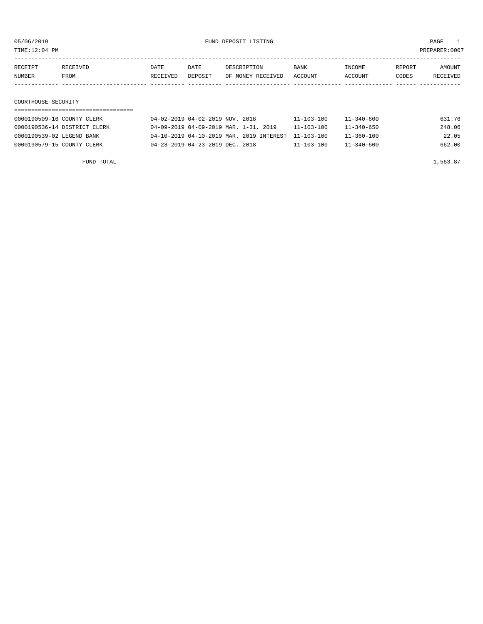TIME:12:04 PM PREPARER:0007

| RECEIPT | RECEIVED            | DATE     | DATE    | DESCRIPTION       | BANK    | INCOME  | REPORT | AMOUNT   |
|---------|---------------------|----------|---------|-------------------|---------|---------|--------|----------|
| NUMBER  | FROM                | RECEIVED | DEPOSIT | OF MONEY RECEIVED | ACCOUNT | ACCOUNT | CODES  | RECEIVED |
|         |                     |          |         |                   |         |         |        |          |
|         |                     |          |         |                   |         |         |        |          |
|         | COURTHOUSE SECURITY |          |         |                   |         |         |        |          |

| 0000190509-16 COUNTY CLERK   | 04-02-2019 04-02-2019 NOV. 2018                     | $11 - 103 - 100$ | 631.76<br>$11 - 340 - 600$ |       |
|------------------------------|-----------------------------------------------------|------------------|----------------------------|-------|
| 0000190536-14 DISTRICT CLERK | 04-09-2019 04-09-2019 MAR. 1-31, 2019               | $11 - 103 - 100$ | 248.06<br>$11 - 340 - 650$ |       |
| 0000190539-02 LEGEND BANK    | 04-10-2019 04-10-2019 MAR. 2019 INTEREST 11-103-100 |                  | $11 - 360 - 100$           | 22.05 |
| 0000190579-15 COUNTY CLERK   | 04-23-2019 04-23-2019 DEC. 2018                     | $11 - 103 - 100$ | 662.00<br>$11 - 340 - 600$ |       |

FUND TOTAL  $1,563.87$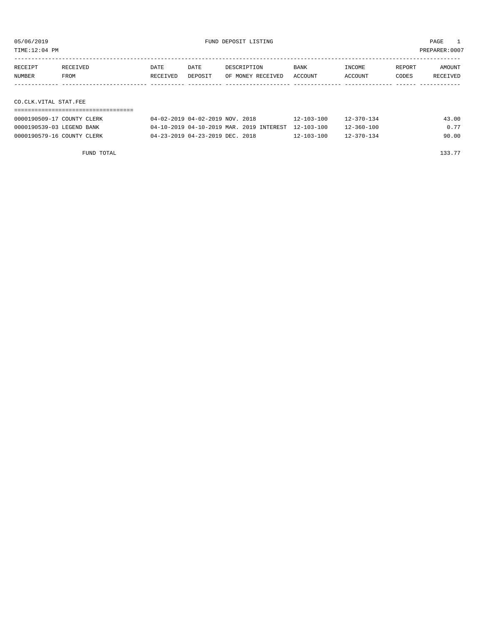TIME:12:04 PM PREPARER:0007

| RECEIPT               | RECEIVED | DATE     | DATE    | DESCRIPTION       | BANK    | INCOME  | REPORT | AMOUNT   |
|-----------------------|----------|----------|---------|-------------------|---------|---------|--------|----------|
| NUMBER                | FROM     | RECEIVED | DEPOSIT | OF MONEY RECEIVED | ACCOUNT | ACCOUNT | CODES  | RECEIVED |
|                       |          |          |         |                   |         |         |        |          |
|                       |          |          |         |                   |         |         |        |          |
| CO.CLK.VITAL STAT.FEE |          |          |         |                   |         |         |        |          |

| 0000190509-17 COUNTY CLERK | 04-02-2019 04-02-2019 NOV. 2018                     | $12 - 103 - 100$ | $12 - 370 - 134$ | 43.00 |
|----------------------------|-----------------------------------------------------|------------------|------------------|-------|
| 0000190539-03 LEGEND BANK  | 04-10-2019 04-10-2019 MAR. 2019 INTEREST 12-103-100 |                  | $12 - 360 - 100$ | 0.77  |
| 0000190579-16 COUNTY CLERK | 04-23-2019 04-23-2019 DEC. 2018                     | $12 - 103 - 100$ | $12 - 370 - 134$ | 90.00 |

FUND TOTAL  $133.77$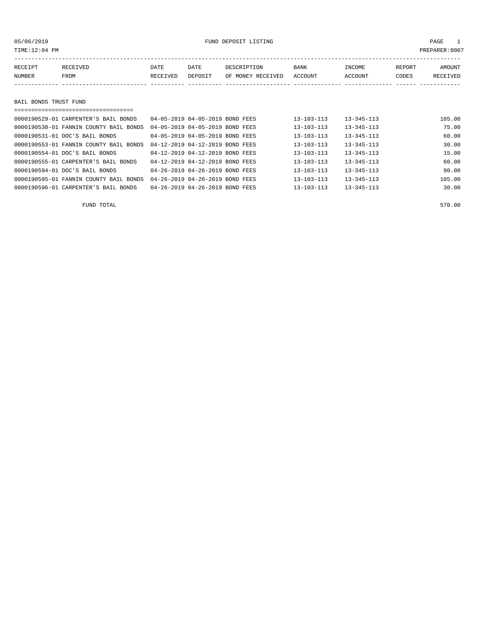| TIME:12:04 PM |                       |          |         |                   |             |         | PREPARER: 0007 |          |
|---------------|-----------------------|----------|---------|-------------------|-------------|---------|----------------|----------|
|               |                       |          |         |                   |             |         |                |          |
| RECEIPT       | RECEIVED              | DATE     | DATE    | DESCRIPTION       | <b>BANK</b> | INCOME  | REPORT         | AMOUNT   |
| NUMBER        | FROM                  | RECEIVED | DEPOSIT | OF MONEY RECEIVED | ACCOUNT     | ACCOUNT | CODES          | RECEIVED |
|               |                       |          |         |                   |             |         |                |          |
|               |                       |          |         |                   |             |         |                |          |
|               | BAIL BONDS TRUST FUND |          |         |                   |             |         |                |          |
|               |                       |          |         |                   |             |         |                |          |

| 0000190529-01 CARPENTER'S BAIL BONDS   | 04-05-2019 04-05-2019 BOND FEES | $13 - 103 - 113$ | $13 - 345 - 113$ | 105.00 |
|----------------------------------------|---------------------------------|------------------|------------------|--------|
| 0000190530-01 FANNIN COUNTY BAIL BONDS | 04-05-2019 04-05-2019 BOND FEES | $13 - 103 - 113$ | $13 - 345 - 113$ | 75.00  |
| 0000190531-01 DOC'S BAIL BONDS         | 04-05-2019 04-05-2019 BOND FEES | $13 - 103 - 113$ | $13 - 345 - 113$ | 60.00  |
| 0000190553-01 FANNIN COUNTY BAIL BONDS | 04-12-2019 04-12-2019 BOND FEES | $13 - 103 - 113$ | $13 - 345 - 113$ | 30.00  |
| 0000190554-01 DOC'S BAIL BONDS         | 04-12-2019 04-12-2019 BOND FEES | $13 - 103 - 113$ | $13 - 345 - 113$ | 15.00  |
| 0000190555-01 CARPENTER'S BAIL BONDS   | 04-12-2019 04-12-2019 BOND FEES | $13 - 103 - 113$ | $13 - 345 - 113$ | 60.00  |
| 0000190594-01 DOC'S BAIL BONDS         | 04-26-2019 04-26-2019 BOND FEES | $13 - 103 - 113$ | $13 - 345 - 113$ | 90.00  |
| 0000190595-01 FANNIN COUNTY BAIL BONDS | 04-26-2019 04-26-2019 BOND FEES | $13 - 103 - 113$ | $13 - 345 - 113$ | 105.00 |
| 0000190596-01 CARPENTER'S BAIL BONDS   | 04-26-2019 04-26-2019 BOND FEES | $13 - 103 - 113$ | $13 - 345 - 113$ | 30.00  |

FUND TOTAL 570.00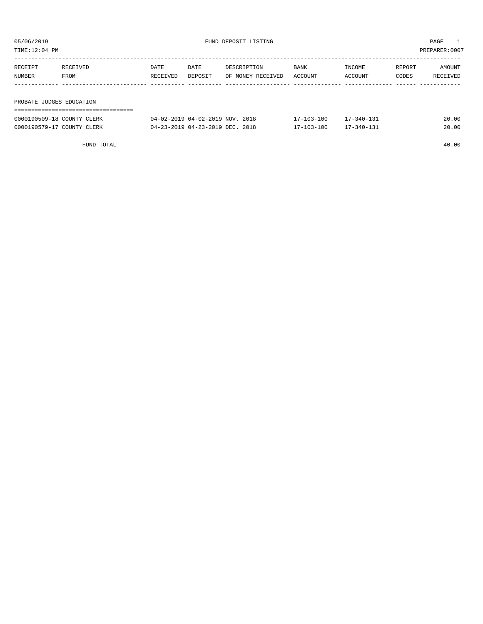| TIME:12:04 PM |                          |          |         |                   |         | PREPARER: 0007 |        |          |
|---------------|--------------------------|----------|---------|-------------------|---------|----------------|--------|----------|
| RECEIPT       | RECEIVED                 | DATE     | DATE    | DESCRIPTION       | BANK    | INCOME         | REPORT | AMOUNT   |
| NUMBER        | FROM                     | RECEIVED | DEPOSIT | OF MONEY RECEIVED | ACCOUNT | ACCOUNT        | CODES  | RECEIVED |
|               |                          |          |         |                   |         |                |        |          |
|               | PROBATE JUDGES EDUCATION |          |         |                   |         |                |        |          |
|               |                          |          |         |                   |         |                |        |          |

| 0000190509-18 COUNTY CLERK | 04-02-2019 04-02-2019 NOV. 2018 | $17 - 103 - 100$ | 17-340-131       | 20.00 |
|----------------------------|---------------------------------|------------------|------------------|-------|
| 0000190579-17 COUNTY CLERK | 04-23-2019 04-23-2019 DEC. 2018 | $17 - 103 - 100$ | $17 - 340 - 131$ | 20.00 |

FUND TOTAL 40.00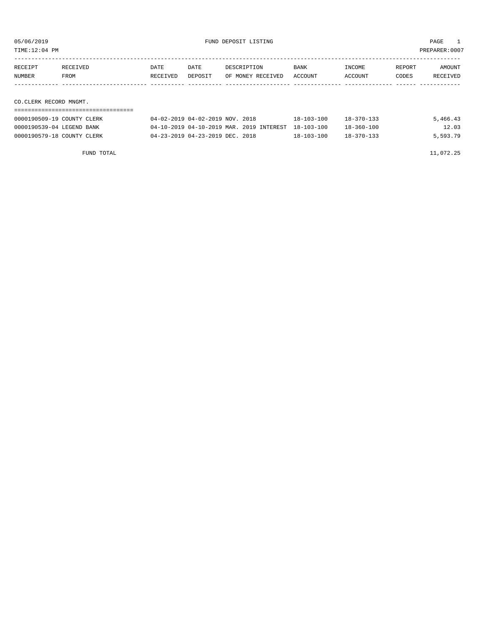| TIME:12:04 PM              |          |         |                                 |                  |                  |        | PREPARER:0007 |
|----------------------------|----------|---------|---------------------------------|------------------|------------------|--------|---------------|
|                            |          |         |                                 |                  |                  |        |               |
| RECEIPT<br>RECEIVED        | DATE     | DATE    | DESCRIPTION                     | <b>BANK</b>      | INCOME           | REPORT | AMOUNT        |
| NUMBER<br>FROM             | RECEIVED | DEPOSIT | OF MONEY RECEIVED               | ACCOUNT          | ACCOUNT          | CODES  | RECEIVED      |
|                            |          |         |                                 |                  |                  |        |               |
|                            |          |         |                                 |                  |                  |        |               |
| CO.CLERK RECORD MNGMT.     |          |         |                                 |                  |                  |        |               |
|                            |          |         |                                 |                  |                  |        |               |
| 0000190509-19 COUNTY CLERK |          |         | 04-02-2019 04-02-2019 NOV. 2018 | $18 - 103 - 100$ | $18 - 370 - 133$ |        | 5,466.43      |

0000190539-04 LEGEND BANK 04-10-2019 04-10-2019 MAR. 2019 INTEREST 18-103-100 18-360-100 12.03 0000190579-18 COUNTY CLERK 04-23-2019 04-23-2019 DEC. 2018 18-103-100 18-370-133 5,593.79

FUND TOTAL 11,072.25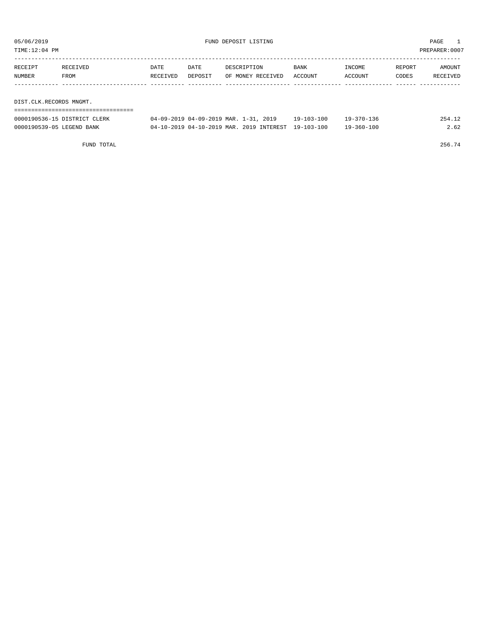| TIME:12:04 PM           |          |          |         |                   |             |         |        | PREPARER:0007 |
|-------------------------|----------|----------|---------|-------------------|-------------|---------|--------|---------------|
| RECEIPT                 | RECEIVED | DATE     | DATE    | DESCRIPTION       | <b>BANK</b> | INCOME  | REPORT | AMOUNT        |
| NUMBER                  | FROM     | RECEIVED | DEPOSIT | OF MONEY RECEIVED | ACCOUNT     | ACCOUNT | CODES  | RECEIVED      |
|                         |          |          |         |                   |             |         |        |               |
| DIST.CLK.RECORDS MNGMT. |          |          |         |                   |             |         |        |               |
|                         |          |          |         |                   |             |         |        |               |

| 0000190536-15 DISTRICT CLERK | 04-09-2019 04-09-2019 MAR. 1-31, 2019 | 19-103-100 | 19-370-136 | 254.12 |
|------------------------------|---------------------------------------|------------|------------|--------|

| 0000190539-05 LEGEND BANK | 04-10-2019 04-10-2019 MAR. 2019 INTEREST 19-103-100 | $19 - 360 - 100$ | 2.62 |
|---------------------------|-----------------------------------------------------|------------------|------|

FUND TOTAL  $256.74$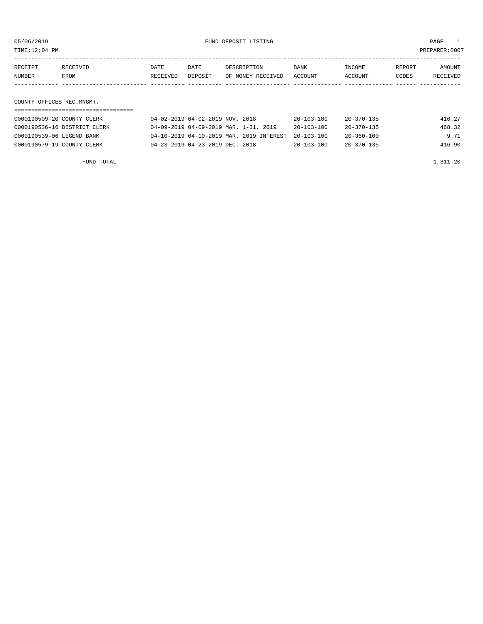| TIME:12:04 PM             |                                                            |                  |                                 |                                       |                                      |                                      |                 | PREPARER: 0007     |
|---------------------------|------------------------------------------------------------|------------------|---------------------------------|---------------------------------------|--------------------------------------|--------------------------------------|-----------------|--------------------|
| RECEIPT<br><b>NUMBER</b>  | <b>RECEIVED</b><br>FROM                                    | DATE<br>RECEIVED | DATE<br>DEPOSIT                 | DESCRIPTION<br>OF MONEY RECEIVED      | BANK<br><b>ACCOUNT</b>               | INCOME<br>ACCOUNT                    | REPORT<br>CODES | AMOUNT<br>RECEIVED |
| COUNTY OFFICES REC.MNGMT. | ==============================                             |                  |                                 |                                       |                                      |                                      |                 |                    |
|                           | 0000190509-20 COUNTY CLERK<br>0000190536-16 DISTRICT CLERK |                  | 04-02-2019 04-02-2019 NOV. 2018 | 04-09-2019 04-09-2019 MAR. 1-31, 2019 | $20 - 103 - 100$<br>$20 - 103 - 100$ | $20 - 370 - 135$<br>$20 - 370 - 135$ |                 | 416.27<br>468.32   |

0000190539-06 LEGEND BANK 04-10-2019 04-10-2019 MAR. 2019 INTEREST 20-103-100 20-360-100 9.71 0000190579-19 COUNTY CLERK 04-23-2019 04-23-2019 DEC. 2018 20-103-100 20-370-135 416.90

TAL 1,311.20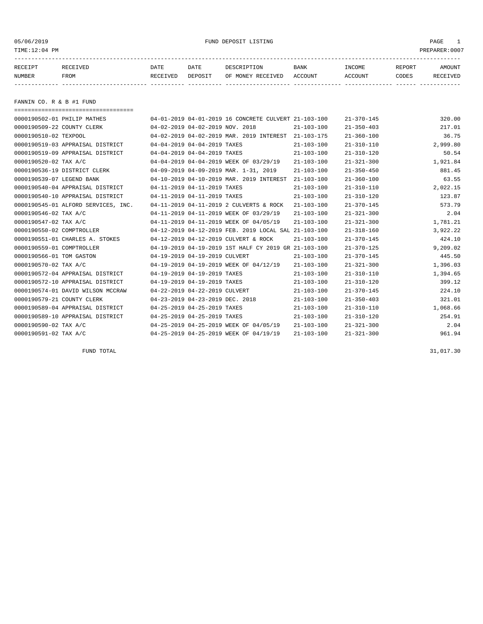TIME:12:04 PM PREPARER:0007

# 05/06/2019 FUND DEPOSIT LISTING PAGE 1

| RECEIPT | <b>RECEIVED</b> | DATE            | DATE    | DESCRIPTION       | <b>BANK</b> | <b>INCOME</b> | REPORT | AMOUNT          |
|---------|-----------------|-----------------|---------|-------------------|-------------|---------------|--------|-----------------|
| NUMBER  | FROM            | <b>RECEIVED</b> | DEPOSIT | OF MONEY RECEIVED | ACCOUNT     | ACCOUNT       | CODES  | <b>RECEIVED</b> |
|         |                 |                 |         |                   |             |               |        |                 |

FANNIN CO. R & B #1 FUND

| ===================================== |                                 |                                 |                                                      |                  |                  |          |
|---------------------------------------|---------------------------------|---------------------------------|------------------------------------------------------|------------------|------------------|----------|
| 0000190502-01 PHILIP MATHES           |                                 |                                 | 04-01-2019 04-01-2019 16 CONCRETE CULVERT 21-103-100 |                  | $21 - 370 - 145$ | 320.00   |
| 0000190509-22 COUNTY CLERK            | 04-02-2019 04-02-2019 NOV. 2018 |                                 |                                                      | $21 - 103 - 100$ | $21 - 350 - 403$ | 217.01   |
| 0000190510-02 TEXPOOL                 |                                 |                                 | 04-02-2019 04-02-2019 MAR. 2019 INTEREST             | 21-103-175       | $21 - 360 - 100$ | 36.75    |
| 0000190519-03 APPRAISAL DISTRICT      |                                 | 04-04-2019 04-04-2019 TAXES     |                                                      | $21 - 103 - 100$ | $21 - 310 - 110$ | 2,999.80 |
| 0000190519-09 APPRAISAL DISTRICT      | 04-04-2019 04-04-2019 TAXES     |                                 |                                                      | $21 - 103 - 100$ | $21 - 310 - 120$ | 50.54    |
| 0000190520-02 TAX A/C                 |                                 |                                 | 04-04-2019 04-04-2019 WEEK OF 03/29/19               | $21 - 103 - 100$ | $21 - 321 - 300$ | 1,921.84 |
| 0000190536-19 DISTRICT CLERK          |                                 |                                 | 04-09-2019 04-09-2019 MAR. 1-31, 2019                | $21 - 103 - 100$ | $21 - 350 - 450$ | 881.45   |
| 0000190539-07 LEGEND BANK             |                                 |                                 | 04-10-2019 04-10-2019 MAR. 2019 INTEREST             | $21 - 103 - 100$ | $21 - 360 - 100$ | 63.55    |
| 0000190540-04 APPRAISAL DISTRICT      |                                 | 04-11-2019 04-11-2019 TAXES     |                                                      | $21 - 103 - 100$ | $21 - 310 - 110$ | 2,022.15 |
| 0000190540-10 APPRAISAL DISTRICT      | 04-11-2019 04-11-2019 TAXES     |                                 |                                                      | $21 - 103 - 100$ | $21 - 310 - 120$ | 123.87   |
| 0000190545-01 ALFORD SERVICES, INC.   |                                 |                                 | 04-11-2019 04-11-2019 2 CULVERTS & ROCK              | $21 - 103 - 100$ | $21 - 370 - 145$ | 573.79   |
| 0000190546-02 TAX A/C                 |                                 |                                 | 04-11-2019 04-11-2019 WEEK OF 03/29/19               | $21 - 103 - 100$ | $21 - 321 - 300$ | 2.04     |
| 0000190547-02 TAX A/C                 |                                 |                                 | 04-11-2019 04-11-2019 WEEK OF 04/05/19               | $21 - 103 - 100$ | $21 - 321 - 300$ | 1,781.21 |
| 0000190550-02 COMPTROLLER             |                                 |                                 | 04-12-2019 04-12-2019 FEB. 2019 LOCAL SAL 21-103-100 |                  | $21 - 318 - 160$ | 3,922.22 |
| 0000190551-01 CHARLES A. STOKES       |                                 |                                 | 04-12-2019 04-12-2019 CULVERT & ROCK                 | $21 - 103 - 100$ | $21 - 370 - 145$ | 424.10   |
| 0000190559-01 COMPTROLLER             |                                 |                                 | 04-19-2019 04-19-2019 1ST HALF CY 2019 GR 21-103-100 |                  | $21 - 370 - 125$ | 9,209.02 |
| 0000190566-01 TOM GASTON              |                                 | 04-19-2019 04-19-2019 CULVERT   |                                                      | $21 - 103 - 100$ | $21 - 370 - 145$ | 445.50   |
| 0000190570-02 TAX A/C                 |                                 |                                 | 04-19-2019 04-19-2019 WEEK OF 04/12/19               | $21 - 103 - 100$ | $21 - 321 - 300$ | 1,396.03 |
| 0000190572-04 APPRAISAL DISTRICT      |                                 | 04-19-2019 04-19-2019 TAXES     |                                                      | $21 - 103 - 100$ | $21 - 310 - 110$ | 1,394.65 |
| 0000190572-10 APPRAISAL DISTRICT      |                                 | 04-19-2019 04-19-2019 TAXES     |                                                      | $21 - 103 - 100$ | $21 - 310 - 120$ | 399.12   |
| 0000190574-01 DAVID WILSON MCCRAW     |                                 | 04-22-2019 04-22-2019 CULVERT   |                                                      | $21 - 103 - 100$ | $21 - 370 - 145$ | 224.10   |
| 0000190579-21 COUNTY CLERK            |                                 | 04-23-2019 04-23-2019 DEC. 2018 |                                                      | $21 - 103 - 100$ | $21 - 350 - 403$ | 321.01   |
| 0000190589-04 APPRAISAL DISTRICT      |                                 | 04-25-2019 04-25-2019 TAXES     |                                                      | $21 - 103 - 100$ | $21 - 310 - 110$ | 1,068.66 |
| 0000190589-10 APPRAISAL DISTRICT      |                                 | 04-25-2019 04-25-2019 TAXES     |                                                      | $21 - 103 - 100$ | $21 - 310 - 120$ | 254.91   |
| 0000190590-02 TAX A/C                 |                                 |                                 | 04-25-2019 04-25-2019 WEEK OF 04/05/19               | $21 - 103 - 100$ | $21 - 321 - 300$ | 2.04     |
| 0000190591-02 TAX A/C                 |                                 |                                 | 04-25-2019 04-25-2019 WEEK OF 04/19/19               | $21 - 103 - 100$ | $21 - 321 - 300$ | 961.94   |
|                                       |                                 |                                 |                                                      |                  |                  |          |

FUND TOTAL 31,017.30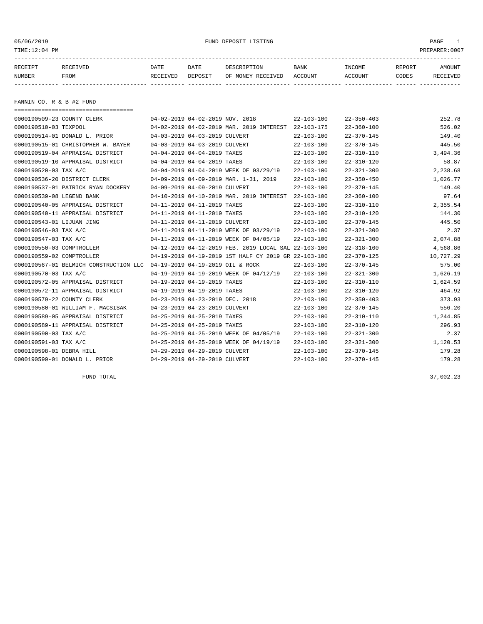| TIME:12:04 PM |                          |          |         |                   |             |         |        | PREPARER: 0007 |  |
|---------------|--------------------------|----------|---------|-------------------|-------------|---------|--------|----------------|--|
| RECEIPT       | RECEIVED                 | DATE     | DATE    | DESCRIPTION       | <b>BANK</b> | INCOME  | REPORT | AMOUNT         |  |
| NUMBER        | FROM                     | RECEIVED | DEPOSIT | OF MONEY RECEIVED | ACCOUNT     | ACCOUNT | CODES  | RECEIVED       |  |
|               |                          |          |         |                   |             |         |        |                |  |
|               | FANNIN CO. R & B #2 FUND |          |         |                   |             |         |        |                |  |
|               |                          |          |         |                   |             |         |        |                |  |

| 0000190509-23 COUNTY CLERK             | 04-02-2019 04-02-2019 NOV. 2018  |                                                      | $22 - 103 - 100$ | $22 - 350 - 403$ | 252.78    |
|----------------------------------------|----------------------------------|------------------------------------------------------|------------------|------------------|-----------|
| 0000190510-03 TEXPOOL                  |                                  | 04-02-2019 04-02-2019 MAR. 2019 INTEREST             | $22 - 103 - 175$ | $22 - 360 - 100$ | 526.02    |
| 0000190514-01 DONALD L. PRIOR          | 04-03-2019 04-03-2019 CULVERT    |                                                      | $22 - 103 - 100$ | $22 - 370 - 145$ | 149.40    |
| 0000190515-01 CHRISTOPHER W. BAYER     | 04-03-2019 04-03-2019 CULVERT    |                                                      | $22 - 103 - 100$ | $22 - 370 - 145$ | 445.50    |
| 0000190519-04 APPRAISAL DISTRICT       | 04-04-2019 04-04-2019 TAXES      |                                                      | $22 - 103 - 100$ | $22 - 310 - 110$ | 3,494.36  |
| 0000190519-10 APPRAISAL DISTRICT       | 04-04-2019 04-04-2019 TAXES      |                                                      | $22 - 103 - 100$ | $22 - 310 - 120$ | 58.87     |
| 0000190520-03 TAX A/C                  |                                  | 04-04-2019 04-04-2019 WEEK OF 03/29/19               | $22 - 103 - 100$ | $22 - 321 - 300$ | 2,238.68  |
| 0000190536-20 DISTRICT CLERK           |                                  | 04-09-2019 04-09-2019 MAR. 1-31, 2019                | $22 - 103 - 100$ | $22 - 350 - 450$ | 1,026.77  |
| 0000190537-01 PATRICK RYAN DOCKERY     | 04-09-2019 04-09-2019 CULVERT    |                                                      | $22 - 103 - 100$ | $22 - 370 - 145$ | 149.40    |
| 0000190539-08 LEGEND BANK              |                                  | 04-10-2019 04-10-2019 MAR. 2019 INTEREST             | $22 - 103 - 100$ | $22 - 360 - 100$ | 97.64     |
| 0000190540-05 APPRAISAL DISTRICT       | 04-11-2019 04-11-2019 TAXES      |                                                      | $22 - 103 - 100$ | $22 - 310 - 110$ | 2,355.54  |
| 0000190540-11 APPRAISAL DISTRICT       | 04-11-2019 04-11-2019 TAXES      |                                                      | $22 - 103 - 100$ | $22 - 310 - 120$ | 144.30    |
| 0000190543-01 LIJUAN JING              | 04-11-2019 04-11-2019 CULVERT    |                                                      | $22 - 103 - 100$ | $22 - 370 - 145$ | 445.50    |
| 0000190546-03 TAX A/C                  |                                  | 04-11-2019 04-11-2019 WEEK OF 03/29/19               | $22 - 103 - 100$ | $22 - 321 - 300$ | 2.37      |
| 0000190547-03 TAX A/C                  |                                  | 04-11-2019 04-11-2019 WEEK OF 04/05/19               | $22 - 103 - 100$ | $22 - 321 - 300$ | 2,074.88  |
| 0000190550-03 COMPTROLLER              |                                  | 04-12-2019 04-12-2019 FEB. 2019 LOCAL SAL 22-103-100 |                  | $22 - 318 - 160$ | 4,568.86  |
| 0000190559-02 COMPTROLLER              |                                  | 04-19-2019 04-19-2019 1ST HALF CY 2019 GR 22-103-100 |                  | $22 - 370 - 125$ | 10,727.29 |
| 0000190567-01 BELMICH CONSTRUCTION LLC | 04-19-2019 04-19-2019 OIL & ROCK |                                                      | $22 - 103 - 100$ | $22 - 370 - 145$ | 575.00    |
| 0000190570-03 TAX A/C                  |                                  | 04-19-2019 04-19-2019 WEEK OF 04/12/19               | $22 - 103 - 100$ | $22 - 321 - 300$ | 1,626.19  |
| 0000190572-05 APPRAISAL DISTRICT       | 04-19-2019 04-19-2019 TAXES      |                                                      | $22 - 103 - 100$ | $22 - 310 - 110$ | 1,624.59  |
| 0000190572-11 APPRAISAL DISTRICT       | 04-19-2019 04-19-2019 TAXES      |                                                      | $22 - 103 - 100$ | $22 - 310 - 120$ | 464.92    |
| 0000190579-22 COUNTY CLERK             | 04-23-2019 04-23-2019 DEC. 2018  |                                                      | $22 - 103 - 100$ | $22 - 350 - 403$ | 373.93    |
| 0000190580-01 WILLIAM F. MACSISAK      | 04-23-2019 04-23-2019 CULVERT    |                                                      | $22 - 103 - 100$ | $22 - 370 - 145$ | 556.20    |
| 0000190589-05 APPRAISAL DISTRICT       | 04-25-2019 04-25-2019 TAXES      |                                                      | $22 - 103 - 100$ | $22 - 310 - 110$ | 1,244.85  |
| 0000190589-11 APPRAISAL DISTRICT       | 04-25-2019 04-25-2019 TAXES      |                                                      | $22 - 103 - 100$ | $22 - 310 - 120$ | 296.93    |
| 0000190590-03 TAX A/C                  |                                  | 04-25-2019 04-25-2019 WEEK OF 04/05/19               | $22 - 103 - 100$ | $22 - 321 - 300$ | 2.37      |
| 0000190591-03 TAX A/C                  |                                  | 04-25-2019 04-25-2019 WEEK OF 04/19/19               | $22 - 103 - 100$ | $22 - 321 - 300$ | 1,120.53  |
| 0000190598-01 DEBRA HILL               | 04-29-2019 04-29-2019 CULVERT    |                                                      | $22 - 103 - 100$ | $22 - 370 - 145$ | 179.28    |
| 0000190599-01 DONALD L. PRIOR          | 04-29-2019 04-29-2019 CULVERT    |                                                      | $22 - 103 - 100$ | $22 - 370 - 145$ | 179.28    |
|                                        |                                  |                                                      |                  |                  |           |

 $FUND$  total  $37,002.23$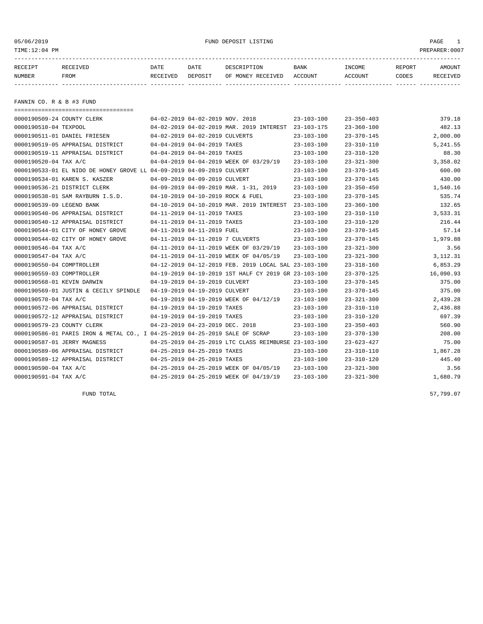| 05/06/2019<br>TIME:12:04 PM |                                                                             |                                 |                                 | FUND DEPOSIT LISTING                                 |                  |                   |                 | PAGE<br>$\mathbf{1}$<br>PREPARER:0007 |
|-----------------------------|-----------------------------------------------------------------------------|---------------------------------|---------------------------------|------------------------------------------------------|------------------|-------------------|-----------------|---------------------------------------|
| RECEIPT<br>NUMBER           | RECEIVED<br>FROM                                                            | DATE<br>RECEIVED                | DATE<br>DEPOSIT                 | DESCRIPTION<br>OF MONEY RECEIVED ACCOUNT             | <b>BANK</b>      | INCOME<br>ACCOUNT | REPORT<br>CODES | AMOUNT<br>RECEIVED                    |
| FANNIN CO. R & B #3 FUND    |                                                                             |                                 |                                 |                                                      |                  |                   |                 |                                       |
|                             | =====================================<br>0000190509-24 COUNTY CLERK         |                                 | 04-02-2019 04-02-2019 NOV. 2018 |                                                      | 23-103-100       | $23 - 350 - 403$  |                 | 379.18                                |
| 0000190510-04 TEXPOOL       |                                                                             |                                 |                                 | 04-02-2019 04-02-2019 MAR. 2019 INTEREST 23-103-175  |                  | $23 - 360 - 100$  |                 | 482.13                                |
|                             | 0000190511-01 DANIEL FRIESEN                                                |                                 | 04-02-2019 04-02-2019 CULVERTS  |                                                      | $23 - 103 - 100$ | $23 - 370 - 145$  |                 | 2,000.00                              |
|                             | 0000190519-05 APPRAISAL DISTRICT                                            |                                 | 04-04-2019 04-04-2019 TAXES     |                                                      | $23 - 103 - 100$ | $23 - 310 - 110$  |                 | 5,241.55                              |
|                             | 0000190519-11 APPRAISAL DISTRICT                                            | 04-04-2019 04-04-2019 TAXES     |                                 |                                                      | $23 - 103 - 100$ | $23 - 310 - 120$  |                 | 88.30                                 |
| 0000190520-04 TAX A/C       |                                                                             |                                 |                                 | 04-04-2019 04-04-2019 WEEK OF 03/29/19               | $23 - 103 - 100$ | $23 - 321 - 300$  |                 | 3,358.02                              |
|                             | 0000190533-01 EL NIDO DE HONEY GROVE LL 04-09-2019 04-09-2019 CULVERT       |                                 |                                 |                                                      | $23 - 103 - 100$ | $23 - 370 - 145$  |                 | 600.00                                |
|                             | 0000190534-01 KAREN S. KASZER                                               |                                 | 04-09-2019 04-09-2019 CULVERT   |                                                      | $23 - 103 - 100$ | $23 - 370 - 145$  |                 | 430.00                                |
|                             | 0000190536-21 DISTRICT CLERK                                                |                                 |                                 | 04-09-2019 04-09-2019 MAR. 1-31, 2019                | $23 - 103 - 100$ | $23 - 350 - 450$  |                 | 1,540.16                              |
|                             | 0000190538-01 SAM RAYBURN I.S.D.                                            |                                 |                                 | 04-10-2019 04-10-2019 ROCK & FUEL                    | $23 - 103 - 100$ | $23 - 370 - 145$  |                 | 535.74                                |
|                             | 0000190539-09 LEGEND BANK                                                   |                                 |                                 | 04-10-2019 04-10-2019 MAR. 2019 INTEREST 23-103-100  |                  | $23 - 360 - 100$  |                 | 132.65                                |
|                             | 0000190540-06 APPRAISAL DISTRICT                                            |                                 | 04-11-2019 04-11-2019 TAXES     |                                                      | $23 - 103 - 100$ | $23 - 310 - 110$  |                 | 3,533.31                              |
|                             | 0000190540-12 APPRAISAL DISTRICT                                            |                                 | 04-11-2019 04-11-2019 TAXES     |                                                      | $23 - 103 - 100$ | $23 - 310 - 120$  |                 | 216.44                                |
|                             | 0000190544-01 CITY OF HONEY GROVE                                           |                                 | 04-11-2019 04-11-2019 FUEL      |                                                      | $23 - 103 - 100$ | $23 - 370 - 145$  |                 | 57.14                                 |
|                             | 0000190544-02 CITY OF HONEY GROVE                                           |                                 |                                 | 04-11-2019 04-11-2019 7 CULVERTS                     | $23 - 103 - 100$ | $23 - 370 - 145$  |                 | 1,979.88                              |
| 0000190546-04 TAX A/C       |                                                                             |                                 |                                 | 04-11-2019 04-11-2019 WEEK OF 03/29/19               | $23 - 103 - 100$ | $23 - 321 - 300$  |                 | 3.56                                  |
| 0000190547-04 TAX A/C       |                                                                             |                                 |                                 | 04-11-2019 04-11-2019 WEEK OF 04/05/19               | $23 - 103 - 100$ | $23 - 321 - 300$  |                 | 3, 112. 31                            |
|                             | 0000190550-04 COMPTROLLER                                                   |                                 |                                 | 04-12-2019 04-12-2019 FEB. 2019 LOCAL SAL 23-103-100 |                  | $23 - 318 - 160$  |                 | 6,853.29                              |
|                             | 0000190559-03 COMPTROLLER                                                   |                                 |                                 | 04-19-2019 04-19-2019 1ST HALF CY 2019 GR 23-103-100 |                  | $23 - 370 - 125$  |                 | 16,090.93                             |
|                             | 0000190568-01 KEVIN DARWIN                                                  |                                 | 04-19-2019 04-19-2019 CULVERT   |                                                      | $23 - 103 - 100$ | $23 - 370 - 145$  |                 | 375.00                                |
|                             | 0000190569-01 JUSTIN & CECILY SPINDLE  04-19-2019 04-19-2019 CULVERT        |                                 |                                 |                                                      | $23 - 103 - 100$ | $23 - 370 - 145$  |                 | 375.00                                |
| 0000190570-04 TAX A/C       |                                                                             |                                 |                                 | 04-19-2019 04-19-2019 WEEK OF 04/12/19               | $23 - 103 - 100$ | $23 - 321 - 300$  |                 | 2,439.28                              |
|                             | 0000190572-06 APPRAISAL DISTRICT                                            | 04-19-2019 04-19-2019 TAXES     |                                 |                                                      | $23 - 103 - 100$ | $23 - 310 - 110$  |                 | 2,436.88                              |
|                             | 0000190572-12 APPRAISAL DISTRICT                                            | 04-19-2019 04-19-2019 TAXES     |                                 |                                                      | $23 - 103 - 100$ | $23 - 310 - 120$  |                 | 697.39                                |
|                             | 0000190579-23 COUNTY CLERK                                                  | 04-23-2019 04-23-2019 DEC. 2018 |                                 |                                                      | $23 - 103 - 100$ | $23 - 350 - 403$  |                 | 560.90                                |
|                             | 0000190586-01 PARIS IRON & METAL CO., I 04-25-2019 04-25-2019 SALE OF SCRAP |                                 |                                 |                                                      | $23 - 103 - 100$ | $23 - 370 - 130$  |                 | 208.00                                |

0000190587-01 JERRY MAGNESS 04-25-2019 04-25-2019 LTC CLASS REIMBURSE 23-103-100 23-623-427 75.00 0000190589-06 APPRAISAL DISTRICT 04-25-2019 04-25-2019 TAXES 23-103-100 23-310-110 1,867.28 0000190589-12 APPRAISAL DISTRICT 04-25-2019 04-25-2019 TAXES 23-103-100 23-310-120 445.40 0000190590-04 TAX A/C 04-25-2019 04-25-2019 WEEK OF 04/05/19 23-103-100 23-321-300 3.56 0000190591-04 TAX A/C 04-25-2019 04-25-2019 WEEK OF 04/19/19 23-103-100 23-321-300 1,680.79

FUND TOTAL 57,799.07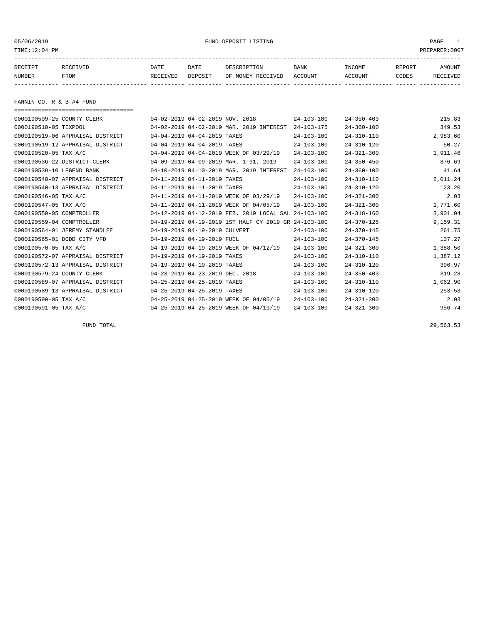TIME:12:04 PM PREPARER:0007

# 05/06/2019 FUND DEPOSIT LISTING PAGE 1

| RECEIPT | <b>RECEIVED</b> | DATE     | DATE    | דידס דפר/פתח         | <b>BANK</b> | INCOME  | REPORT | AMOUNT          |
|---------|-----------------|----------|---------|----------------------|-------------|---------|--------|-----------------|
| NUMBER  | FROM            | RECEIVED | DEPOSIT | RECEIVED<br>OF MONEY | ACCOUNT     | ACCOUNT | CODES  | <b>RECEIVED</b> |
|         |                 |          |         |                      |             |         |        |                 |

FANNIN CO. R & B #4 FUND

| ===================================== |                                 |                                                      |                  |                  |          |
|---------------------------------------|---------------------------------|------------------------------------------------------|------------------|------------------|----------|
| 0000190509-25 COUNTY CLERK            | 04-02-2019 04-02-2019 NOV. 2018 |                                                      | $24 - 103 - 100$ | $24 - 350 - 403$ | 215.83   |
| 0000190510-05 TEXPOOL                 |                                 | 04-02-2019 04-02-2019 MAR. 2019 INTEREST             | $24 - 103 - 175$ | $24 - 360 - 100$ | 349.53   |
| 0000190519-06 APPRAISAL DISTRICT      | 04-04-2019 04-04-2019 TAXES     |                                                      | $24 - 103 - 100$ | $24 - 310 - 110$ | 2,983.60 |
| 0000190519-12 APPRAISAL DISTRICT      | 04-04-2019 04-04-2019 TAXES     |                                                      | $24 - 103 - 100$ | $24 - 310 - 120$ | 50.27    |
| 0000190520-05 TAX A/C                 |                                 | 04-04-2019 04-04-2019 WEEK OF 03/29/19               | $24 - 103 - 100$ | $24 - 321 - 300$ | 1,911.46 |
| 0000190536-22 DISTRICT CLERK          |                                 | 04-09-2019 04-09-2019 MAR. 1-31, 2019                | $24 - 103 - 100$ | $24 - 350 - 450$ | 876.69   |
| 0000190539-10 LEGEND BANK             |                                 | 04-10-2019 04-10-2019 MAR. 2019 INTEREST             | $24 - 103 - 100$ | $24 - 360 - 100$ | 41.64    |
| 0000190540-07 APPRAISAL DISTRICT      | 04-11-2019 04-11-2019 TAXES     |                                                      | $24 - 103 - 100$ | $24 - 310 - 110$ | 2,011.24 |
| 0000190540-13 APPRAISAL DISTRICT      | 04-11-2019 04-11-2019 TAXES     |                                                      | $24 - 103 - 100$ | $24 - 310 - 120$ | 123.20   |
| 0000190546-05 TAX A/C                 |                                 | 04-11-2019 04-11-2019 WEEK OF 03/29/19               | $24 - 103 - 100$ | $24 - 321 - 300$ | 2.03     |
| 0000190547-05 TAX A/C                 |                                 | 04-11-2019 04-11-2019 WEEK OF 04/05/19               | $24 - 103 - 100$ | $24 - 321 - 300$ | 1,771.60 |
| 0000190550-05 COMPTROLLER             |                                 | 04-12-2019 04-12-2019 FEB. 2019 LOCAL SAL 24-103-100 |                  | $24 - 318 - 160$ | 3,901.04 |
| 0000190559-04 COMPTROLLER             |                                 | 04-19-2019 04-19-2019 1ST HALF CY 2019 GR 24-103-100 |                  | $24 - 370 - 125$ | 9,159.31 |
| 0000190564-01 JEREMY STANDLEE         | 04-19-2019 04-19-2019 CULVERT   |                                                      | $24 - 103 - 100$ | $24 - 370 - 145$ | 261.75   |
| 0000190565-01 DODD CITY VFD           | 04-19-2019 04-19-2019 FUEL      |                                                      | $24 - 103 - 100$ | $24 - 370 - 145$ | 137.27   |
| 0000190570-05 TAX A/C                 |                                 | 04-19-2019 04-19-2019 WEEK OF 04/12/19               | $24 - 103 - 100$ | $24 - 321 - 300$ | 1,388.50 |
| 0000190572-07 APPRAISAL DISTRICT      | 04-19-2019 04-19-2019 TAXES     |                                                      | $24 - 103 - 100$ | $24 - 310 - 110$ | 1,387.12 |
| 0000190572-13 APPRAISAL DISTRICT      | 04-19-2019 04-19-2019 TAXES     |                                                      | $24 - 103 - 100$ | $24 - 310 - 120$ | 396.97   |
| 0000190579-24 COUNTY CLERK            | 04-23-2019 04-23-2019 DEC. 2018 |                                                      | $24 - 103 - 100$ | $24 - 350 - 403$ | 319.28   |
| 0000190589-07 APPRAISAL DISTRICT      | 04-25-2019 04-25-2019 TAXES     |                                                      | $24 - 103 - 100$ | $24 - 310 - 110$ | 1,062.90 |
| 0000190589-13 APPRAISAL DISTRICT      | 04-25-2019 04-25-2019 TAXES     |                                                      | $24 - 103 - 100$ | $24 - 310 - 120$ | 253.53   |
| 0000190590-05 TAX A/C                 |                                 | 04-25-2019 04-25-2019 WEEK OF 04/05/19               | $24 - 103 - 100$ | $24 - 321 - 300$ | 2.03     |
| 0000190591-05 TAX A/C                 |                                 | 04-25-2019 04-25-2019 WEEK OF 04/19/19               | $24 - 103 - 100$ | $24 - 321 - 300$ | 956.74   |

FUND TOTAL 29,563.53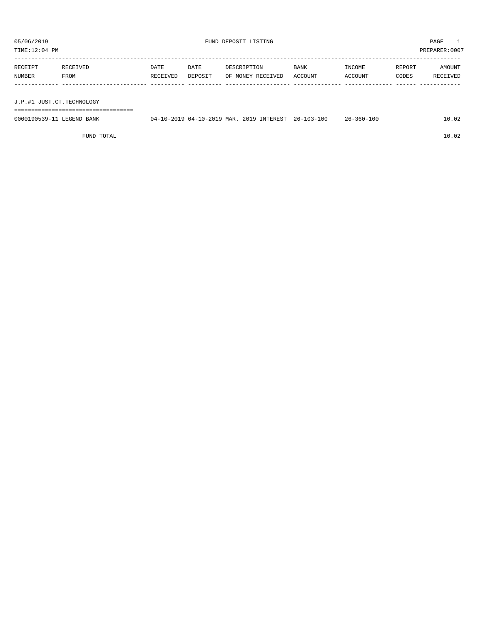| TIME:12:04 PM             |                                    |                  |                 |                                                     | PREPARER:0007   |                   |                 |                    |
|---------------------------|------------------------------------|------------------|-----------------|-----------------------------------------------------|-----------------|-------------------|-----------------|--------------------|
| RECEIPT<br>NUMBER         | RECEIVED<br>FROM                   | DATE<br>RECEIVED | DATE<br>DEPOSIT | DESCRIPTION<br>OF MONEY RECEIVED                    | BANK<br>ACCOUNT | INCOME<br>ACCOUNT | REPORT<br>CODES | AMOUNT<br>RECEIVED |
| J.P.#1 JUST.CT.TECHNOLOGY | ---------------------------------- |                  |                 |                                                     |                 |                   |                 |                    |
| 0000190539-11 LEGEND BANK |                                    |                  |                 | 04-10-2019 04-10-2019 MAR. 2019 INTEREST 26-103-100 |                 | $26 - 360 - 100$  |                 | 10.02              |

FUND TOTAL 10.02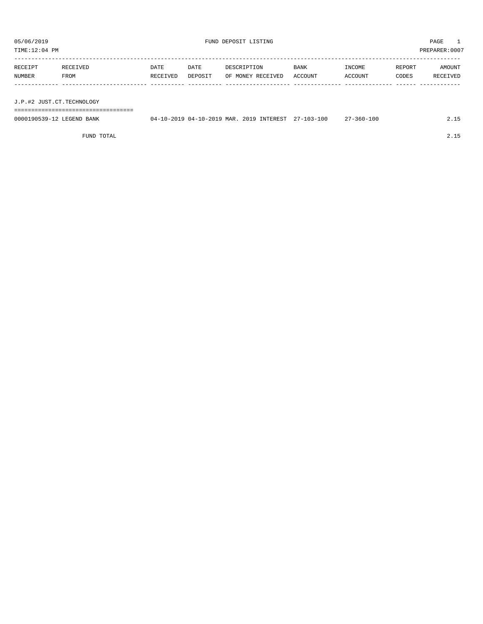| TIME:12:04 PM             |                              | PREPARER:0007    |                 |                                                     |                        |                   |                 |                    |
|---------------------------|------------------------------|------------------|-----------------|-----------------------------------------------------|------------------------|-------------------|-----------------|--------------------|
| RECEIPT<br>NUMBER         | RECEIVED<br>FROM             | DATE<br>RECEIVED | DATE<br>DEPOSIT | DESCRIPTION<br>OF MONEY RECEIVED                    | <b>BANK</b><br>ACCOUNT | INCOME<br>ACCOUNT | REPORT<br>CODES | AMOUNT<br>RECEIVED |
|                           |                              |                  |                 |                                                     |                        |                   |                 |                    |
| J.P.#2 JUST.CT.TECHNOLOGY |                              |                  |                 |                                                     |                        |                   |                 |                    |
|                           | ============================ |                  |                 |                                                     |                        |                   |                 |                    |
| 0000190539-12 LEGEND BANK |                              |                  |                 | 04-10-2019 04-10-2019 MAR. 2019 INTEREST 27-103-100 |                        | 27-360-100        |                 | 2.15               |

FUND TOTAL 2.15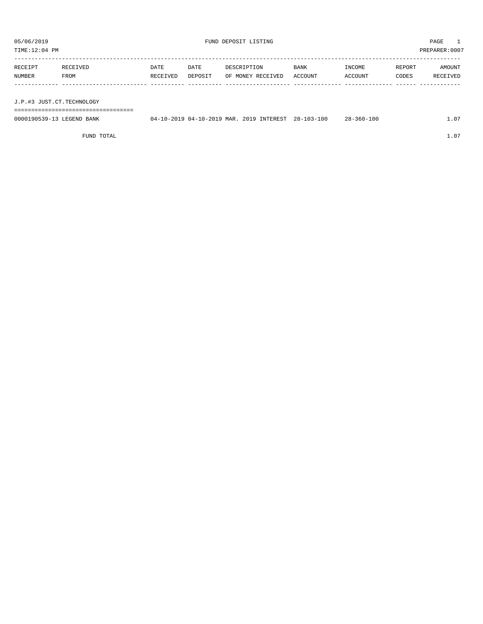| TIME:12:04 PM             |                             |                  |                 |                                          |                        |                   |                 | PREPARER:0007      |  |
|---------------------------|-----------------------------|------------------|-----------------|------------------------------------------|------------------------|-------------------|-----------------|--------------------|--|
| RECEIPT<br>NUMBER         | RECEIVED<br>FROM            | DATE<br>RECEIVED | DATE<br>DEPOSIT | DESCRIPTION<br>OF MONEY RECEIVED         | <b>BANK</b><br>ACCOUNT | INCOME<br>ACCOUNT | REPORT<br>CODES | AMOUNT<br>RECEIVED |  |
|                           |                             |                  |                 |                                          |                        |                   |                 |                    |  |
| J.P.#3 JUST.CT.TECHNOLOGY |                             |                  |                 |                                          |                        |                   |                 |                    |  |
|                           | =========================== |                  |                 |                                          |                        |                   |                 |                    |  |
| 0000190539-13 LEGEND BANK |                             |                  |                 | 04-10-2019 04-10-2019 MAR. 2019 INTEREST | 28-103-100             | $28 - 360 - 100$  |                 | 1.07               |  |

FUND TOTAL  $1.07$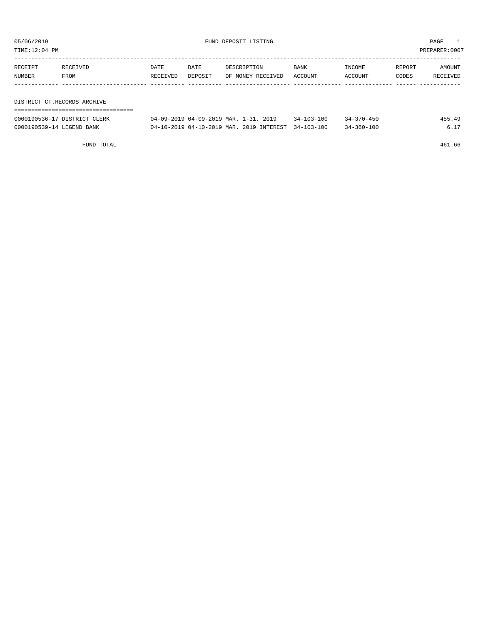TIME:12:04 PM PREPARER:0007

| RECEIPT                     | RECEIVED | DATE     | DATE    | DESCRIPTION       | BANK    | INCOME  | REPORT | AMOUNT   |  |  |  |
|-----------------------------|----------|----------|---------|-------------------|---------|---------|--------|----------|--|--|--|
| NUMBER                      | FROM     | RECEIVED | DEPOSIT | OF MONEY RECEIVED | ACCOUNT | ACCOUNT | CODES  | RECEIVED |  |  |  |
|                             |          |          |         |                   |         |         |        |          |  |  |  |
|                             |          |          |         |                   |         |         |        |          |  |  |  |
| DISTRICT CT.RECORDS ARCHIVE |          |          |         |                   |         |         |        |          |  |  |  |
|                             |          |          |         |                   |         |         |        |          |  |  |  |

| 0000190536-17 DISTRICT CLERK | 04-09-2019 04-09-2019 MAR. 1-31, 2019               | $34 - 103 - 100$ | $34 - 370 - 450$ | 455.49 |
|------------------------------|-----------------------------------------------------|------------------|------------------|--------|
| 0000190539-14 LEGEND BANK    | 04-10-2019 04-10-2019 MAR. 2019 INTEREST 34-103-100 |                  | $34 - 360 - 100$ |        |

FUND TOTAL 461.66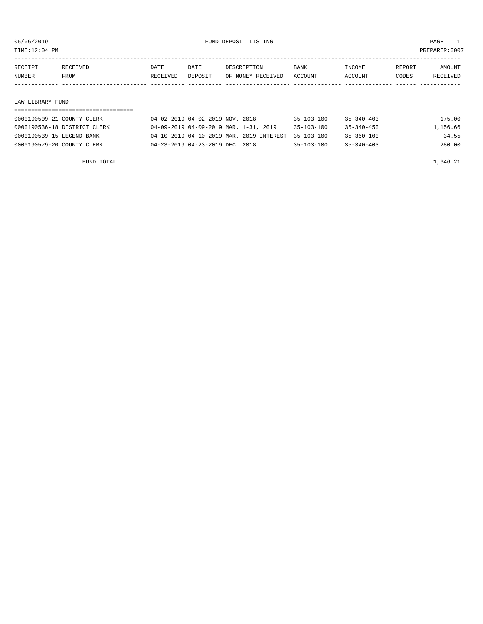TIME:12:04 PM PREPARER:0007

| RECEIPT          | RECEIVED | DATE     | DATE    | DESCRIPTION       | BANK    | INCOME  | REPORT | AMOUNT   |
|------------------|----------|----------|---------|-------------------|---------|---------|--------|----------|
| NUMBER           | FROM     | RECEIVED | DEPOSIT | OF MONEY RECEIVED | ACCOUNT | ACCOUNT | CODES  | RECEIVED |
|                  |          |          |         |                   |         |         |        |          |
|                  |          |          |         |                   |         |         |        |          |
| LAW LIBRARY FUND |          |          |         |                   |         |         |        |          |

| 0000190509-21 COUNTY CLERK   | 04-02-2019 04-02-2019 NOV. 2018                     | $35 - 103 - 100$ | $35 - 340 - 403$ | 175.00   |
|------------------------------|-----------------------------------------------------|------------------|------------------|----------|
| 0000190536-18 DISTRICT CLERK | 04-09-2019 04-09-2019 MAR. 1-31, 2019               | $35 - 103 - 100$ | 35-340-450       | 1,156.66 |
| 0000190539-15 LEGEND BANK    | 04-10-2019 04-10-2019 MAR. 2019 INTEREST 35-103-100 |                  | 35-360-100       | 34.55    |
| 0000190579-20 COUNTY CLERK   | 04-23-2019 04-23-2019 DEC. 2018                     | $35 - 103 - 100$ | $35 - 340 - 403$ | 280.00   |

FUND TOTAL  $1,646.21$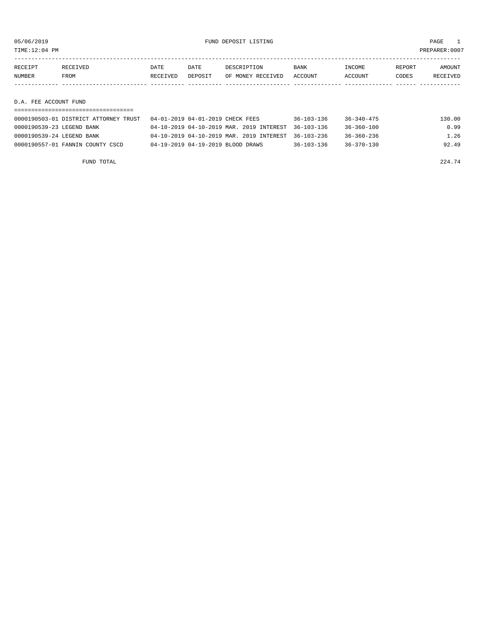TIME:12:04 PM PREPARER:0007

| RECEIPT               | RECEIVED | DATE     | DATE    | DESCRIPTION       | <b>BANK</b> | INCOME  | REPORT | AMOUNT   |
|-----------------------|----------|----------|---------|-------------------|-------------|---------|--------|----------|
| NUMBER                | FROM     | RECEIVED | DEPOSIT | OF MONEY RECEIVED | ACCOUNT     | ACCOUNT | CODES  | RECEIVED |
|                       |          |          |         |                   |             |         |        |          |
|                       |          |          |         |                   |             |         |        |          |
| D.A. FEE ACCOUNT FUND |          |          |         |                   |             |         |        |          |

| 0000190503-01 DISTRICT ATTORNEY TRUST | 04-01-2019 04-01-2019 CHECK FEES                    | $36 - 103 - 136$ | $36 - 340 - 475$ | 130.00 |
|---------------------------------------|-----------------------------------------------------|------------------|------------------|--------|
| 0000190539-23 LEGEND BANK             | 04-10-2019 04-10-2019 MAR. 2019 INTEREST 36-103-136 |                  | 36-360-100       | 0.99   |
| 0000190539-24 LEGEND BANK             | 04-10-2019 04-10-2019 MAR. 2019 INTEREST 36-103-236 |                  | 36-360-236       | 1.26   |
| 0000190557-01 FANNIN COUNTY CSCD      | 04-19-2019 04-19-2019 BLOOD DRAWS                   | $36 - 103 - 136$ | $36 - 370 - 130$ | 92.49  |

FUND TOTAL  $224.74$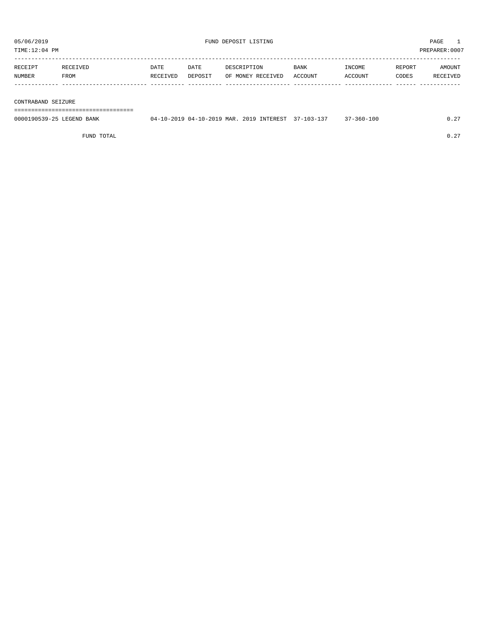| TIME:12:04 PM      |          |          |         |                   |             |         |        | PREPARER:0007 |
|--------------------|----------|----------|---------|-------------------|-------------|---------|--------|---------------|
|                    |          |          |         |                   |             |         |        |               |
| RECEIPT            | RECEIVED | DATE     | DATE    | DESCRIPTION       | <b>BANK</b> | INCOME  | REPORT | AMOUNT        |
| NUMBER             | FROM     | RECEIVED | DEPOSIT | OF MONEY RECEIVED | ACCOUNT     | ACCOUNT | CODES  | RECEIVED      |
|                    |          |          |         |                   |             |         |        |               |
|                    |          |          |         |                   |             |         |        |               |
| CONTRABAND SEIZURE |          |          |         |                   |             |         |        |               |
|                    |          |          |         |                   |             |         |        |               |

0000190539-25 LEGEND BANK 04-10-2019 04-10-2019 MAR. 2019 INTEREST 37-103-137 37-360-100 0.27

FUND TOTAL  $0.27$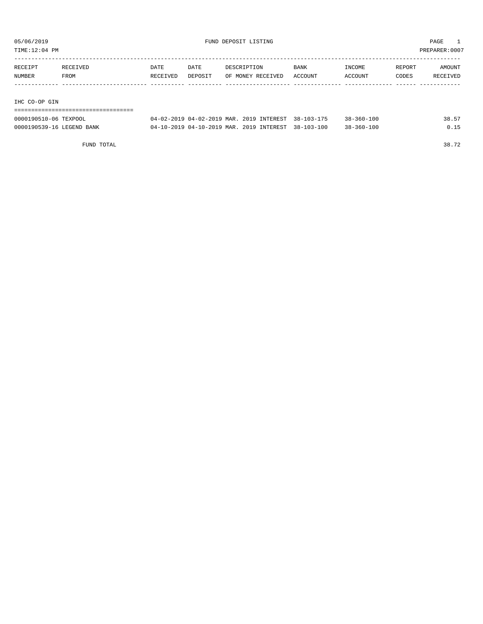TIME:12:04 PM PREPARER:0007

| RECEIPT       | RECEIVED | DATE     | DATE    | DESCRIPTION       | <b>BANK</b> | INCOME  | REPORT | AMOUNT   |
|---------------|----------|----------|---------|-------------------|-------------|---------|--------|----------|
| NUMBER        | FROM     | RECEIVED | DEPOSIT | OF MONEY RECEIVED | ACCOUNT     | ACCOUNT | CODES  | RECEIVED |
|               |          |          |         |                   |             |         |        |          |
|               |          |          |         |                   |             |         |        |          |
| THA GO-OP GIN |          |          |         |                   |             |         |        |          |

IHC CO-OP GIN

# ===================================

| 0000190510-06 TEXPOOL     | $04 - 02 - 2019$ $04 - 02 - 2019$ MAR. | 2019 INTEREST 38-103-175 | $38 - 360 - 100$ | 38.57 |
|---------------------------|----------------------------------------|--------------------------|------------------|-------|
| 0000190539-16 LEGEND BANK | $04-10-2019$ $04-10-2019$ MAR.         | 2019 INTEREST 38-103-100 | $38 - 360 - 100$ |       |

FUND TOTAL 38.72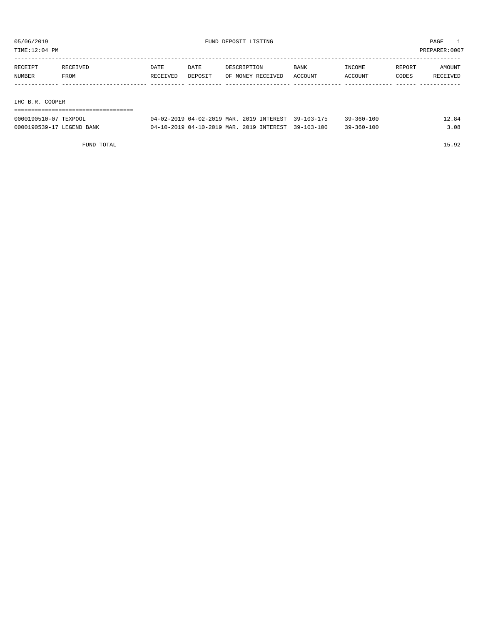TIME:12:04 PM PREPARER:0007

| RECEIPT                   | RECEIVED | <b>DATE</b> | DATE    | DESCRIPTION       | <b>BANK</b> | INCOME  | REPORT | AMOUNT   |
|---------------------------|----------|-------------|---------|-------------------|-------------|---------|--------|----------|
| NUMBER                    | FROM     | RECEIVED    | DEPOSIT | OF MONEY RECEIVED | ACCOUNT     | ACCOUNT | CODES  | RECEIVED |
|                           |          |             |         |                   |             |         |        |          |
|                           |          |             |         |                   |             |         |        |          |
| C <sub>0</sub><br>THA D D |          |             |         |                   |             |         |        |          |

IHC B.R. COOPER

| ================================= |                                                     |  |                  |       |
|-----------------------------------|-----------------------------------------------------|--|------------------|-------|
| 0000190510-07 TEXPOOL             | 04-02-2019 04-02-2019 MAR. 2019 INTEREST 39-103-175 |  | $39 - 360 - 100$ | 12.84 |
| 0000190539-17 LEGEND BANK         | 04-10-2019 04-10-2019 MAR. 2019 INTEREST 39-103-100 |  | $39 - 360 - 100$ | 3.08  |

FUND TOTAL 15.92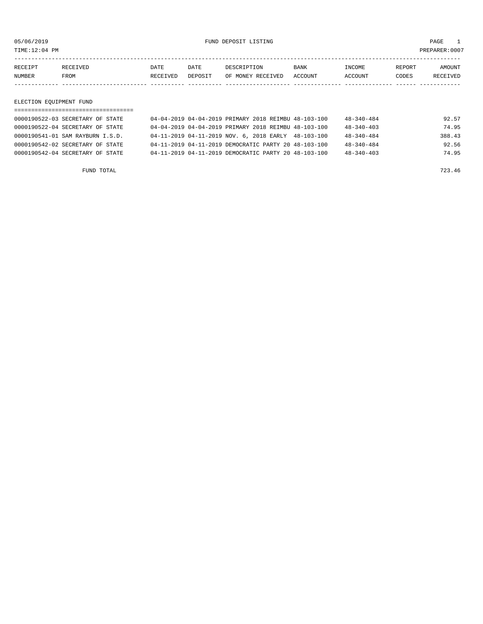TIME:12:04 PM PREPARER:0007

05/06/2019 FUND DEPOSIT LISTING PAGE 1

| RECEIPT | <b>RECEIVED</b> | DATE     | DATE    | דידס דפר/פתח         | <b>BANK</b> | INCOME  | REPORT | AMOUNT          |
|---------|-----------------|----------|---------|----------------------|-------------|---------|--------|-----------------|
| NUMBER  | FROM            | RECEIVED | DEPOSIT | RECEIVED<br>OF MONEY | ACCOUNT     | ACCOUNT | CODES  | <b>RECEIVED</b> |
|         |                 |          |         |                      |             |         |        |                 |

ELECTION EQUIPMENT FUND

| 0000190522-03 SECRETARY OF STATE | 04-04-2019 04-04-2019 PRIMARY 2018 REIMBU 48-103-100 |  | $48 - 340 - 484$ | 92.57  |
|----------------------------------|------------------------------------------------------|--|------------------|--------|
| 0000190522-04 SECRETARY OF STATE | 04-04-2019 04-04-2019 PRIMARY 2018 REIMBU 48-103-100 |  | $48 - 340 - 403$ | 74.95  |
| 0000190541-01 SAM RAYBURN I.S.D. | 04-11-2019 04-11-2019 NOV. 6, 2018 EARLY 48-103-100  |  | $48 - 340 - 484$ | 388.43 |
| 0000190542-02 SECRETARY OF STATE | 04-11-2019 04-11-2019 DEMOCRATIC PARTY 20 48-103-100 |  | $48 - 340 - 484$ | 92.56  |
| 0000190542-04 SECRETARY OF STATE | 04-11-2019 04-11-2019 DEMOCRATIC PARTY 20 48-103-100 |  | $48 - 340 - 403$ | 74.95  |
|                                  |                                                      |  |                  |        |

FUND TOTAL 723.46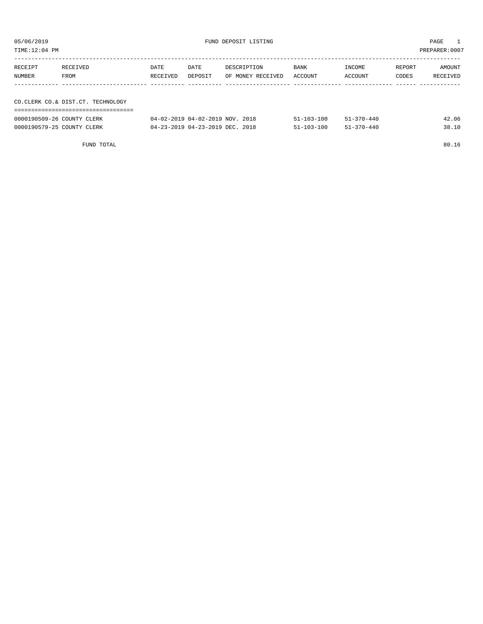| TIME:12:04 PM |                                      |          |         |                   |                    |                     |        | PREPARER:0007        |
|---------------|--------------------------------------|----------|---------|-------------------|--------------------|---------------------|--------|----------------------|
| RECEIPT       | RECEIVED                             | DATE     | DATE    | DESCRIPTION       | BANK               | INCOME              | REPORT | AMOUNT               |
| NUMBER        | FROM                                 | RECEIVED | DEPOSIT | OF MONEY RECEIVED | ACCOUNT            | ACCOUNT             | CODES  | RECEIVED             |
|               |                                      |          |         |                   |                    |                     |        |                      |
|               | CO. CLERK CO. & DIST. CT. TECHNOLOGY |          |         |                   |                    |                     |        |                      |
|               |                                      |          |         |                   |                    |                     |        |                      |
|               |                                      |          |         |                   | $-1$ $-200$ $-200$ | $-1$ $-1$ $-1$ $-1$ |        | $\sim$ $\sim$ $\sim$ |

| 0000190509-26 COUNTY CLERK | 04-02-2019 04-02-2019 NOV. 2018 | $51 - 103 - 100$ | $51 - 370 - 440$ | 42.06 |
|----------------------------|---------------------------------|------------------|------------------|-------|
| 0000190579-25 COUNTY CLERK | 04-23-2019 04-23-2019 DEC. 2018 | $51 - 103 - 100$ | $51 - 370 - 440$ | 38.10 |

FUND TOTAL 80.16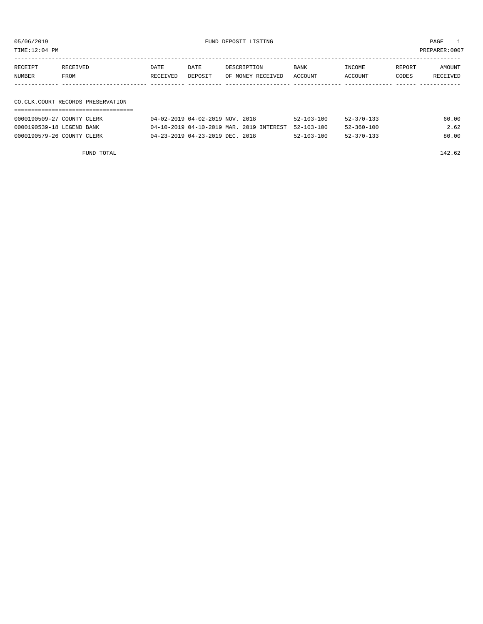TIME:12:04 PM PREPARER:0007

05/06/2019 FUND DEPOSIT LISTING PAGE 1

| RECEIPT | RECEIVED                            | DATE     | DATE    | DESCRIPTION       | BANK    | INCOME  | REPORT | AMOUNT   |
|---------|-------------------------------------|----------|---------|-------------------|---------|---------|--------|----------|
| NUMBER  | FROM                                | RECEIVED | DEPOSIT | OF MONEY RECEIVED | ACCOUNT | ACCOUNT | CODES  | RECEIVED |
|         |                                     |          |         |                   |         |         |        |          |
|         |                                     |          |         |                   |         |         |        |          |
|         | CO. CLK. COURT RECORDS PRESERVATION |          |         |                   |         |         |        |          |

# ===================================

| 0000190509-27 COUNTY CLERK | $04 - 02 - 2019$ $04 - 02 - 2019$ NOV. 2018         | $52 - 103 - 100$ | $52 - 370 - 133$ | 60.00 |
|----------------------------|-----------------------------------------------------|------------------|------------------|-------|
| 0000190539-18 LEGEND BANK  | 04-10-2019 04-10-2019 MAR. 2019 INTEREST 52-103-100 |                  | $52 - 360 - 100$ | 2.62  |
| 0000190579-26 COUNTY CLERK | 04-23-2019 04-23-2019 DEC. 2018                     | $52 - 103 - 100$ | 52-370-133       | 80.00 |

FUND TOTAL 142.62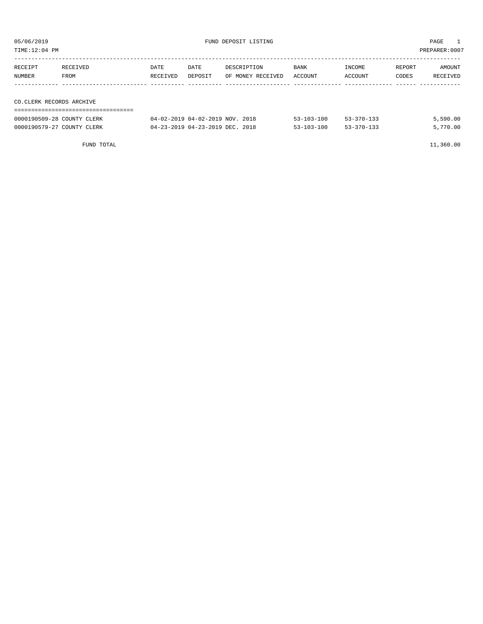| TIME:12:04 PM            |                            |          |                                 |                   |                  |                  |        | PREPARER:0007 |
|--------------------------|----------------------------|----------|---------------------------------|-------------------|------------------|------------------|--------|---------------|
|                          |                            |          |                                 |                   |                  |                  |        |               |
| RECEIPT                  | RECEIVED                   | DATE     | DATE                            | DESCRIPTION       | <b>BANK</b>      | INCOME           | REPORT | AMOUNT        |
| NUMBER                   | FROM                       | RECEIVED | DEPOSIT                         | OF MONEY RECEIVED | ACCOUNT          | ACCOUNT          | CODES  | RECEIVED      |
|                          |                            |          |                                 |                   |                  |                  |        |               |
|                          |                            |          |                                 |                   |                  |                  |        |               |
| CO.CLERK RECORDS ARCHIVE |                            |          |                                 |                   |                  |                  |        |               |
|                          |                            |          |                                 |                   |                  |                  |        |               |
|                          | 0000190509-28 COUNTY CLERK |          | 04-02-2019 04-02-2019 NOV. 2018 |                   | $53 - 103 - 100$ | $53 - 370 - 133$ |        | 5,590.00      |

0000190579-27 COUNTY CLERK 04-23-2019 04-23-2019 DEC. 2018 53-103-100 53-370-133 5,770.00

FUND TOTAL 11,360.00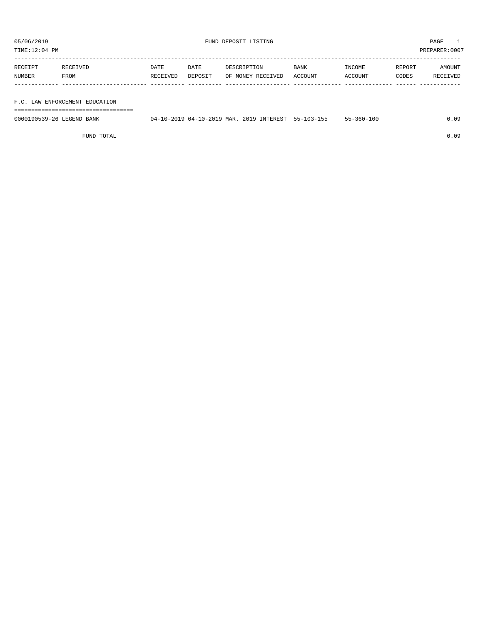TIME:12:04 PM PREPARER:0007

| RECEIPT | RECEIVED    | DATE     | DATE    | DESCRIPTION       | <b>BANK</b> | INCOME  | REPORT       | AMOUNT   |
|---------|-------------|----------|---------|-------------------|-------------|---------|--------------|----------|
| NUMBER  | <b>FROM</b> | RECEIVED | DEPOSIT | OF MONEY RECEIVED | ACCOUNT     | ACCOUNT | <b>CODES</b> | RECEIVED |
|         |             |          |         |                   |             |         |              |          |

# F.C. LAW ENFORCEMENT EDUCATION

===================================

| 0000190539-26<br><b>LEGEND</b><br>BANK | (14.<br>. 0-2019 1 | 04-10-2019 MAR. | 201<br>ם י | INTEREST | າດາ<br>55- | 55-360-10∪ | $\cap$ |
|----------------------------------------|--------------------|-----------------|------------|----------|------------|------------|--------|
|                                        |                    |                 |            |          |            |            |        |

FUND TOTAL 0.09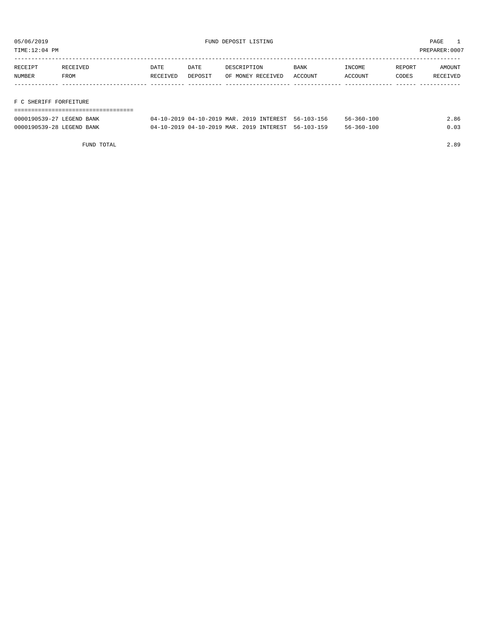TIME:12:04 PM PREPARER:0007

| RECEIPT       | RECEIVED | <b>DATE</b> | DATE    | DESCRIPTION       | <b>BANK</b> | INCOME  | REPORT | AMOUNT   |
|---------------|----------|-------------|---------|-------------------|-------------|---------|--------|----------|
| <b>NUMBER</b> | FROM     | RECEIVED    | DEPOSIT | OF MONEY RECEIVED | ACCOUNT     | ACCOUNT | CODES  | RECEIVED |
|               |          |             |         |                   |             |         |        |          |
|               |          |             |         |                   |             |         |        |          |

F C SHERIFF FORFEITURE

| ------------------------- |                                                     |  |                  |      |
|---------------------------|-----------------------------------------------------|--|------------------|------|
| 0000190539-27 LEGEND BANK | 04-10-2019 04-10-2019 MAR. 2019 INTEREST 56-103-156 |  | 56-360-100       | 2.86 |
| 0000190539-28 LEGEND BANK | 04-10-2019 04-10-2019 MAR. 2019 INTEREST 56-103-159 |  | $56 - 360 - 100$ | 0.03 |

FUND TOTAL 2.89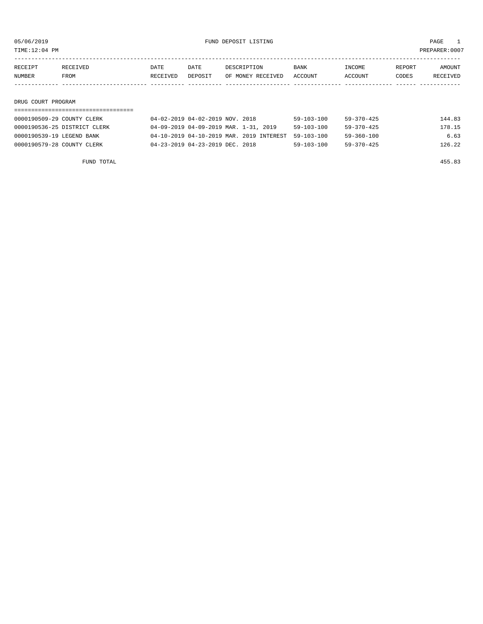TIME:12:04 PM PREPARER:0007

| RECEIPT            | RECEIVED | DATE     | DATE    | DESCRIPTION       | BANK    | INCOME  | REPORT | AMOUNT   |
|--------------------|----------|----------|---------|-------------------|---------|---------|--------|----------|
| NUMBER             | FROM     | RECEIVED | DEPOSIT | OF MONEY RECEIVED | ACCOUNT | ACCOUNT | CODES  | RECEIVED |
|                    |          |          |         |                   |         |         |        |          |
|                    |          |          |         |                   |         |         |        |          |
| DRUG COURT PROGRAM |          |          |         |                   |         |         |        |          |

| 0000190509-29 COUNTY CLERK   | 04-02-2019 04-02-2019 NOV. 2018          | $59 - 103 - 100$ | 59-370-425       | 144.83 |
|------------------------------|------------------------------------------|------------------|------------------|--------|
| 0000190536-25 DISTRICT CLERK | 04-09-2019 04-09-2019 MAR. 1-31, 2019    | $59 - 103 - 100$ | 59-370-425       | 178.15 |
| 0000190539-19 LEGEND BANK    | 04-10-2019 04-10-2019 MAR. 2019 INTEREST | 59-103-100       | 59-360-100       | 6.63   |
| 0000190579-28 COUNTY CLERK   | 04-23-2019 04-23-2019 DEC. 2018          | $59 - 103 - 100$ | $59 - 370 - 425$ | 126.22 |

FUND TOTAL 455.83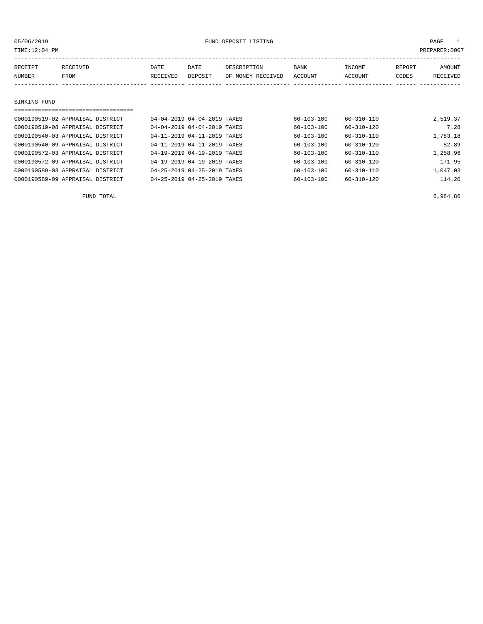05/06/2019 PAGE 1

| TIME:12:04 PM |                                  |          |                             |                   |                  |                  |        | PREPARER: 0007  |
|---------------|----------------------------------|----------|-----------------------------|-------------------|------------------|------------------|--------|-----------------|
| RECEIPT       | RECEIVED                         | DATE     | DATE                        | DESCRIPTION       | <b>BANK</b>      | INCOME           | REPORT | AMOUNT          |
| NUMBER        | FROM                             | RECEIVED | DEPOSIT                     | OF MONEY RECEIVED | <b>ACCOUNT</b>   | ACCOUNT          | CODES  | <b>RECEIVED</b> |
|               |                                  |          |                             |                   |                  |                  |        |                 |
|               |                                  |          |                             |                   |                  |                  |        |                 |
| SINKING FUND  |                                  |          |                             |                   |                  |                  |        |                 |
|               |                                  |          |                             |                   |                  |                  |        |                 |
|               | 0000190519-02 APPRAISAL DISTRICT |          | 04-04-2019 04-04-2019 TAXES |                   | $60 - 103 - 100$ | $60 - 310 - 110$ |        | 2,519.37        |
|               | 0000190519-08 APPRAISAL DISTRICT |          | 04-04-2019 04-04-2019 TAXES |                   | $60 - 103 - 100$ | $60 - 310 - 120$ |        | 7.28            |
|               | 0000190540-03 APPRAISAL DISTRICT |          | 04-11-2019 04-11-2019 TAXES |                   | $60 - 103 - 100$ | $60 - 310 - 110$ |        | 1,783.18        |
|               | 0000190540-09 APPRAISAL DISTRICT |          | 04-11-2019 04-11-2019 TAXES |                   | $60 - 103 - 100$ | $60 - 310 - 120$ |        | 82.89           |

0000190572-03 APPRAISAL DISTRICT 04-19-2019 04-19-2019 TAXES 60-103-100 60-310-110 1,258.96 0000190572-09 APPRAISAL DISTRICT 04-19-2019 04-19-2019 TAXES 60-103-100 60-310-120 171.95 0000190589-03 APPRAISAL DISTRICT 04-25-2019 04-25-2019 TAXES 60-103-100 60-310-110 1,047.03 0000190589-09 APPRAISAL DISTRICT 04-25-2019 04-25-2019 TAXES 60-103-100 60-310-120 114.20

FUND TOTAL 6,984.86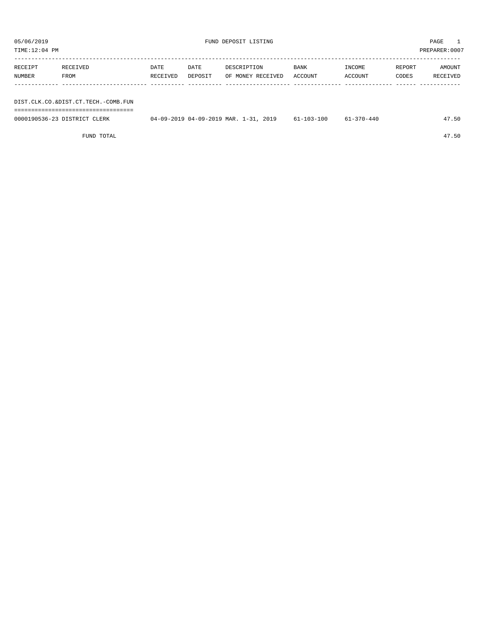| TIME:12:04 PM |                                     |          |         |                                       |                  |                  |        | PREPARER:0007 |
|---------------|-------------------------------------|----------|---------|---------------------------------------|------------------|------------------|--------|---------------|
|               |                                     |          |         |                                       |                  |                  |        |               |
| RECEIPT       | RECEIVED                            | DATE     | DATE    | DESCRIPTION                           | BANK             | INCOME           | REPORT | AMOUNT        |
| NUMBER        | FROM                                | RECEIVED | DEPOSIT | OF MONEY RECEIVED                     | ACCOUNT          | ACCOUNT          | CODES  | RECEIVED      |
|               |                                     |          |         |                                       |                  |                  |        |               |
|               |                                     |          |         |                                       |                  |                  |        |               |
|               | DIST.CLK.CO.&DIST.CT.TECH.-COMB.FUN |          |         |                                       |                  |                  |        |               |
|               |                                     |          |         |                                       |                  |                  |        |               |
|               | 0000190536-23 DISTRICT CLERK        |          |         | 04-09-2019 04-09-2019 MAR. 1-31, 2019 | $61 - 103 - 100$ | $61 - 370 - 440$ |        | 47.50         |

FUND TOTAL 47.50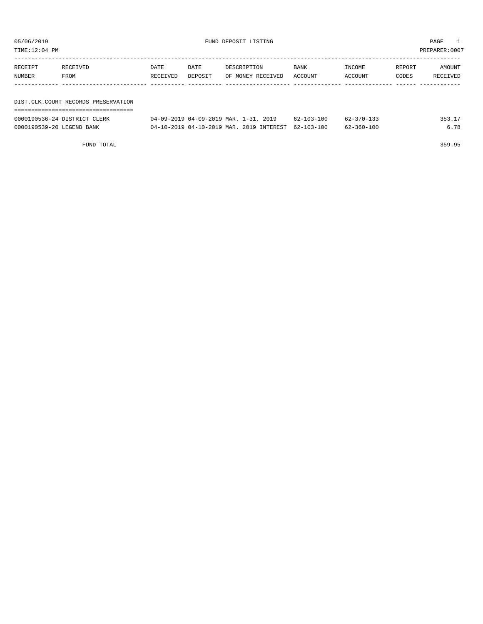| TIME:12:04 PM             |                                     |          |         |                                          |                  |                  |        | PREPARER: 0007 |
|---------------------------|-------------------------------------|----------|---------|------------------------------------------|------------------|------------------|--------|----------------|
| RECEIPT                   | RECEIVED                            | DATE     | DATE    | DESCRIPTION                              | <b>BANK</b>      | INCOME           | REPORT | AMOUNT         |
| <b>NUMBER</b>             | FROM                                | RECEIVED | DEPOSIT | OF MONEY RECEIVED                        | ACCOUNT          | ACCOUNT          | CODES  | RECEIVED       |
|                           |                                     |          |         |                                          |                  |                  |        |                |
|                           | DIST.CLK.COURT RECORDS PRESERVATION |          |         |                                          |                  |                  |        |                |
|                           | 0000190536-24 DISTRICT CLERK        |          |         | 04-09-2019 04-09-2019 MAR. 1-31, 2019    | $62 - 103 - 100$ | $62 - 370 - 133$ |        | 353.17         |
| 0000190539-20 LEGEND BANK |                                     |          |         | 04-10-2019 04-10-2019 MAR, 2019 INTEREST | $62 - 103 - 100$ | $62 - 360 - 100$ |        | 6.78           |

FUND TOTAL 359.95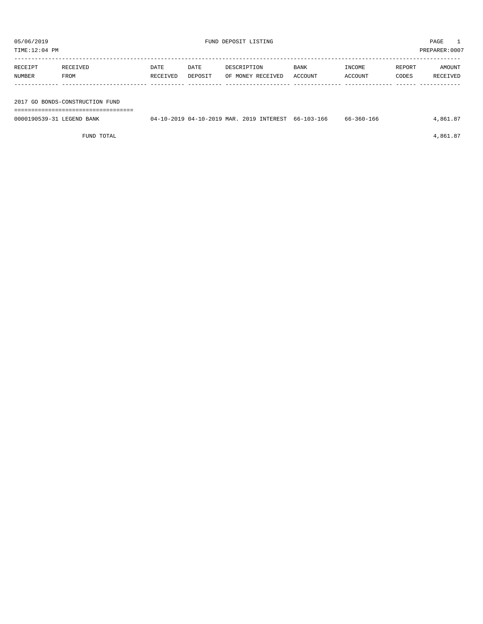| TIME:12:04 PM             |                                 |                  |                 |             |                                          |                 |                   |                 | PREPARER: 0007     |
|---------------------------|---------------------------------|------------------|-----------------|-------------|------------------------------------------|-----------------|-------------------|-----------------|--------------------|
| RECEIPT<br>NUMBER         | RECEIVED<br>FROM                | DATE<br>RECEIVED | DATE<br>DEPOSIT | DESCRIPTION | OF MONEY RECEIVED                        | BANK<br>ACCOUNT | INCOME<br>ACCOUNT | REPORT<br>CODES | AMOUNT<br>RECEIVED |
|                           | 2017 GO BONDS-CONSTRUCTION FUND |                  |                 |             |                                          |                 |                   |                 |                    |
|                           |                                 |                  |                 |             |                                          |                 |                   |                 |                    |
| 0000190539-31 LEGEND BANK |                                 |                  |                 |             | 04-10-2019 04-10-2019 MAR. 2019 INTEREST | 66-103-166      | 66-360-166        |                 | 4,861.87           |

FUND TOTAL  $4,861.87$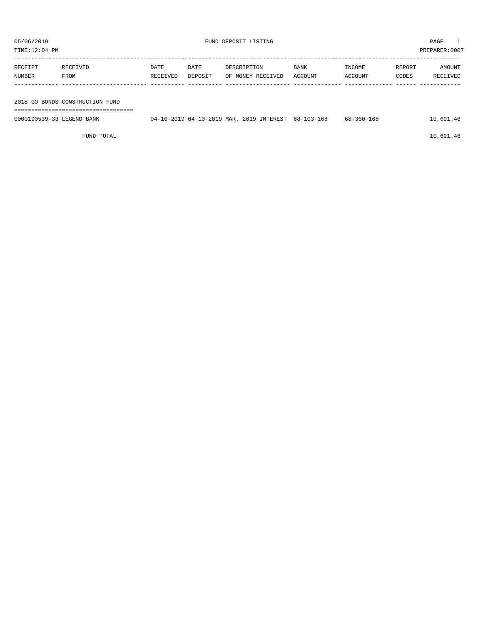| TIME:12:04 PM             |                                 |                  |                 |                                                     |                 |                   |                 | PREPARER:0007      |
|---------------------------|---------------------------------|------------------|-----------------|-----------------------------------------------------|-----------------|-------------------|-----------------|--------------------|
| RECEIPT<br>NUMBER         | RECEIVED<br>FROM                | DATE<br>RECEIVED | DATE<br>DEPOSIT | DESCRIPTION<br>OF MONEY RECEIVED                    | BANK<br>ACCOUNT | INCOME<br>ACCOUNT | REPORT<br>CODES | AMOUNT<br>RECEIVED |
|                           |                                 |                  |                 |                                                     |                 |                   |                 |                    |
|                           | 2018 GO BONDS-CONSTRUCTION FUND |                  |                 |                                                     |                 |                   |                 |                    |
| 0000190539-33 LEGEND BANK |                                 |                  |                 | 04-10-2019 04-10-2019 MAR, 2019 INTEREST 68-103-168 |                 | $68 - 360 - 168$  |                 | 10,691.46          |

FUND TOTAL 10,691.46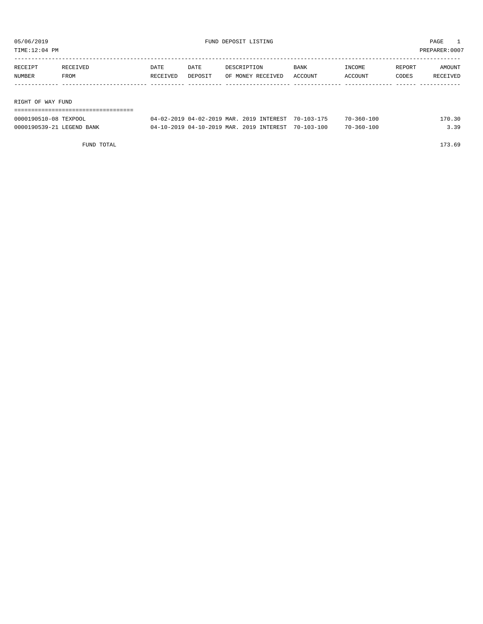| TIME:12:04 PM     |          |          |         |                   |             |         |        | PREPARER:0007 |  |  |
|-------------------|----------|----------|---------|-------------------|-------------|---------|--------|---------------|--|--|
|                   |          |          |         |                   |             |         |        |               |  |  |
| RECEIPT           | RECEIVED | DATE     | DATE    | DESCRIPTION       | <b>BANK</b> | INCOME  | REPORT | AMOUNT        |  |  |
| NUMBER            | FROM     | RECEIVED | DEPOSIT | OF MONEY RECEIVED | ACCOUNT     | ACCOUNT | CODES  | RECEIVED      |  |  |
|                   |          |          |         |                   |             |         |        |               |  |  |
|                   |          |          |         |                   |             |         |        |               |  |  |
| RIGHT OF WAY FUND |          |          |         |                   |             |         |        |               |  |  |
|                   |          |          |         |                   |             |         |        |               |  |  |

| 0000190510-08 TEXPOOL     | 04-02-2019 04-02-2019 MAR. 2019 INTEREST | $70 - 103 - 175$ | $70 - 360 - 100$ | 170.30 |
|---------------------------|------------------------------------------|------------------|------------------|--------|
| 0000190539-21 LEGEND BANK | 04-10-2019 04-10-2019 MAR. 2019 INTEREST | 70-103-100       | $70 - 360 - 100$ | 20     |

FUND TOTAL 173.69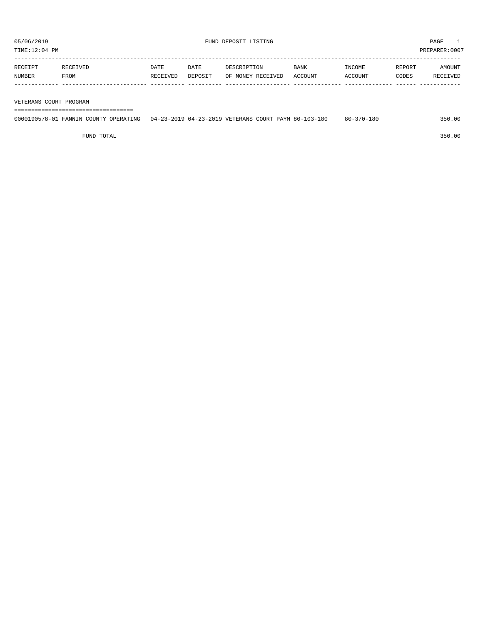TIME:12:04 PM PREPARER:0007

| RECEIPT | RECEIVED | DATE     | DATE    | DESCRIPTION       | <b>BANK</b> | INCOME  | REPORT | AMOUNT          |
|---------|----------|----------|---------|-------------------|-------------|---------|--------|-----------------|
| NUMBER  | FROM     | RECEIVED | DEPOSIT | OF MONEY RECEIVED | ACCOUNT     | ACCOUNT | CODES  | <b>RECEIVED</b> |
|         |          |          |         |                   |             |         |        |                 |

## VETERANS COURT PROGRAM

===================================

| 0000190578-01 FANNIN COUNTY OPERATING | 04-23-2019 04-23-2019 VETERANS COURT PAYM 80-103-180 ز | $80 - 370 - 180$ | 350.00 |
|---------------------------------------|--------------------------------------------------------|------------------|--------|
|                                       |                                                        |                  |        |

FUND TOTAL 350.00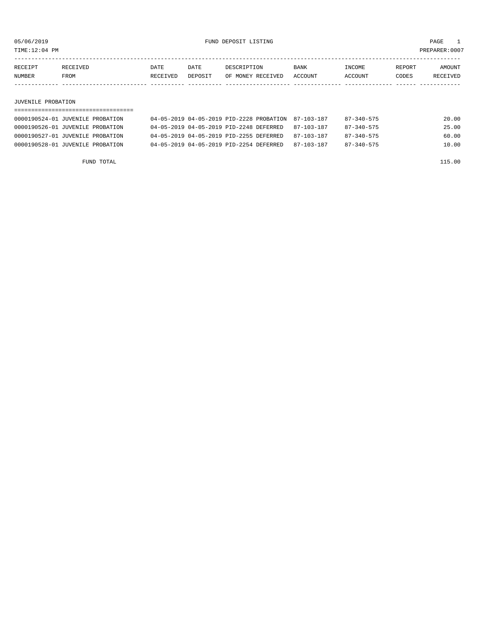TIME:12:04 PM PREPARER:0007

| RECEIPT | RECEIVED | DATE     | DATE    | DESCRIPTION       | <b>BANK</b> | <b>NCOME</b>  | REPORT | AMOUNT          |
|---------|----------|----------|---------|-------------------|-------------|---------------|--------|-----------------|
| NUMBER  | FROM     | RECEIVED | DEPOSIT | OF MONEY RECEIVED | ACCOUNT     | <b>CCOUNT</b> | CODES  | <b>RECEIVED</b> |
|         |          |          |         |                   |             |               |        |                 |

## JUVENILE PROBATION

| 0000190524-01 JUVENILE PROBATION | 04-05-2019 04-05-2019 PID-2228 PROBATION 87-103-187 |            | $87 - 340 - 575$ | 20.00 |
|----------------------------------|-----------------------------------------------------|------------|------------------|-------|
| 0000190526-01 JUVENILE PROBATION | 04-05-2019 04-05-2019 PID-2248 DEFERRED             | 87-103-187 | $87 - 340 - 575$ | 25.00 |
| 0000190527-01 JUVENILE PROBATION | 04-05-2019 04-05-2019 PID-2255 DEFERRED             | 87-103-187 | 87-340-575       | 60.00 |
| 0000190528-01 JUVENILE PROBATION | 04-05-2019 04-05-2019 PID-2254 DEFERRED             | 87-103-187 | $87 - 340 - 575$ | 10.00 |

FUND TOTAL 115.00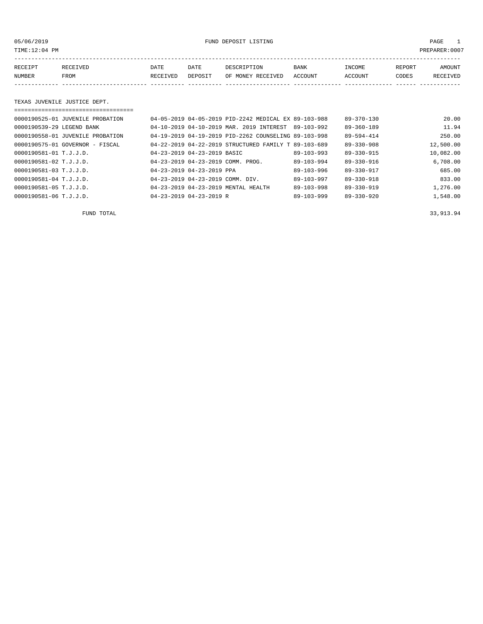TIME:12:04 PM PREPARER:0007

05/06/2019 FUND DEPOSIT LISTING PAGE 1

| RECEIPT | <b>RECEIVED</b> | DATE     | DATE    | DESCRIPTION          | <b>BANK</b>    | INCOME  | <b>REPORT</b> | AMOUNT          |
|---------|-----------------|----------|---------|----------------------|----------------|---------|---------------|-----------------|
| NUMBER  | FROM            | RECEIVED | DEPOSIT | RECEIVED<br>OF MONEY | <b>ACCOUNT</b> | ACCOUNT | CODES         | <b>RECEIVED</b> |
|         |                 |          |         |                      |                |         |               |                 |

# TEXAS JUVENILE JUSTICE DEPT.

|                            | 0000190525-01 JUVENILE PROBATION |                                              | 04-05-2019 04-05-2019 PID-2242 MEDICAL EX 89-103-988 |                  | $89 - 370 - 130$ | 20.00     |
|----------------------------|----------------------------------|----------------------------------------------|------------------------------------------------------|------------------|------------------|-----------|
| 0000190539-29 LEGEND BANK  |                                  |                                              | 04-10-2019 04-10-2019 MAR, 2019 INTEREST             | 89-103-992       | $89 - 360 - 189$ | 11.94     |
|                            | 0000190558-01 JUVENILE PROBATION |                                              | 04-19-2019 04-19-2019 PID-2262 COUNSELING 89-103-998 |                  | 89-594-414       | 250.00    |
|                            | 0000190575-01 GOVERNOR - FISCAL  |                                              | 04-22-2019 04-22-2019 STRUCTURED FAMILY T 89-103-689 |                  | $89 - 330 - 908$ | 12,500.00 |
| $0000190581 - 01$ T.J.J.D. |                                  | 04-23-2019 04-23-2019 BASIC                  |                                                      | $89 - 103 - 993$ | $89 - 330 - 915$ | 10,082.00 |
| 0000190581-02 T.J.J.D.     |                                  |                                              | 04-23-2019 04-23-2019 COMM. PROG.                    | $89 - 103 - 994$ | $89 - 330 - 916$ | 6.708.00  |
| $0000190581 - 03$ T.J.J.D. |                                  | 04-23-2019 04-23-2019 PPA                    |                                                      | $89 - 103 - 996$ | $89 - 330 - 917$ | 685.00    |
| 0000190581-04 T.J.J.D.     |                                  | $04 - 23 - 2019$ $04 - 23 - 2019$ COMM. DIV. |                                                      | $89 - 103 - 997$ | $89 - 330 - 918$ | 833.00    |
| 0000190581-05 T.J.J.D.     |                                  |                                              | 04-23-2019 04-23-2019 MENTAL HEALTH                  | $89 - 103 - 998$ | $89 - 330 - 919$ | 1,276.00  |
| 0000190581-06 T.J.J.D.     |                                  | $04 - 23 - 2019$ $04 - 23 - 2019$ R          |                                                      | $89 - 103 - 999$ | $89 - 330 - 920$ | 1,548.00  |

FUND TOTAL 33,913.94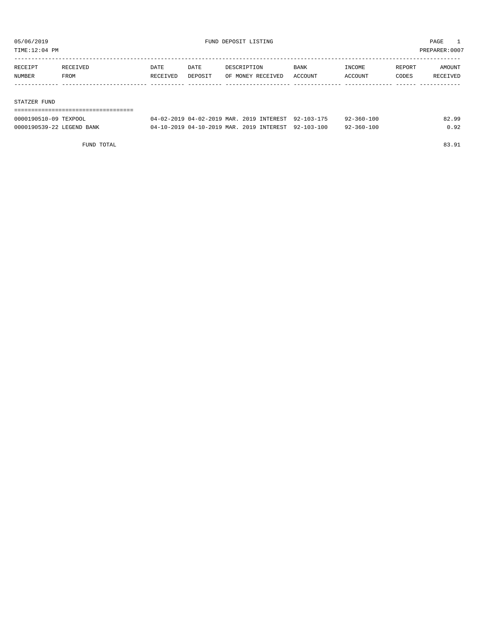TIME:12:04 PM PREPARER:0007

| RECEIPT | RECEIVED | DATE     | DATE    | DESCRIPTION       | BANK    | INCOME  | REPORT | AMOUNT   |
|---------|----------|----------|---------|-------------------|---------|---------|--------|----------|
| NUMBER  | FROM     | RECEIVED | DEPOSIT | OF MONEY RECEIVED | ACCOUNT | ACCOUNT | CODES  | RECEIVED |
|         |          |          |         |                   |         |         |        |          |
|         |          |          |         |                   |         |         |        |          |

## STATZER FUND

| -------------------       |                                                     |  |                  |       |
|---------------------------|-----------------------------------------------------|--|------------------|-------|
| 0000190510-09 TEXPOOL     | 04-02-2019 04-02-2019 MAR. 2019 INTEREST 92-103-175 |  | $92 - 360 - 100$ | 82.99 |
| 0000190539-22 LEGEND BANK | 04-10-2019 04-10-2019 MAR. 2019 INTEREST 92-103-100 |  | 92-360-100       | 0.92  |

FUND TOTAL 83.91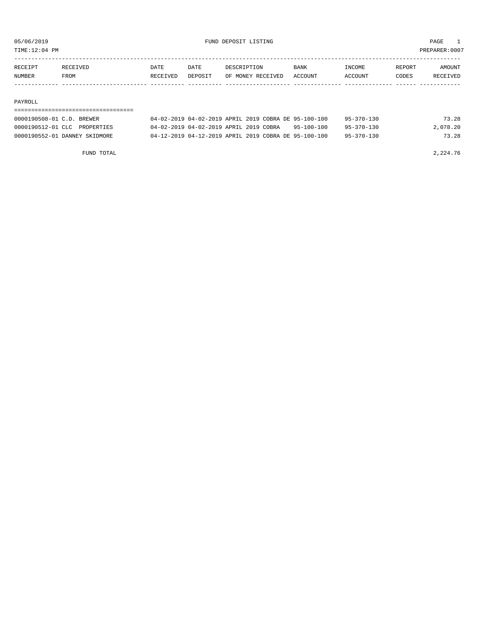TIME:12:04 PM PREPARER:0007

| RECEIPT | RECEIVED | DATE     | DATE    | DESCRIPTION       | <b>BANK</b> | <b>NCOME</b>  | REPORT | AMOUNT          |
|---------|----------|----------|---------|-------------------|-------------|---------------|--------|-----------------|
| NUMBER  | FROM     | RECEIVED | DEPOSIT | OF MONEY RECEIVED | ACCOUNT     | <b>CCOUNT</b> | CODES  | <b>RECEIVED</b> |
|         |          |          |         |                   |             |               |        |                 |

### PAYROLL

# =================================== 0000190508-01 C.D. BREWER 04-02-2019 04-02-2019 APRIL 2019 COBRA DE 95-100-100 95-370-130 73.28 0000190512-01 CLC PROPERTIES 04-02-2019 04-02-2019 APRIL 2019 COBRA 95-100-100 95-370-130 2,078.20 0000190552-01 DANNEY SKIDMORE 04-12-2019 04-12-2019 APRIL 2019 COBRA DE 95-100-100 95-370-130 73.28

FUND TOTAL 2,224.76